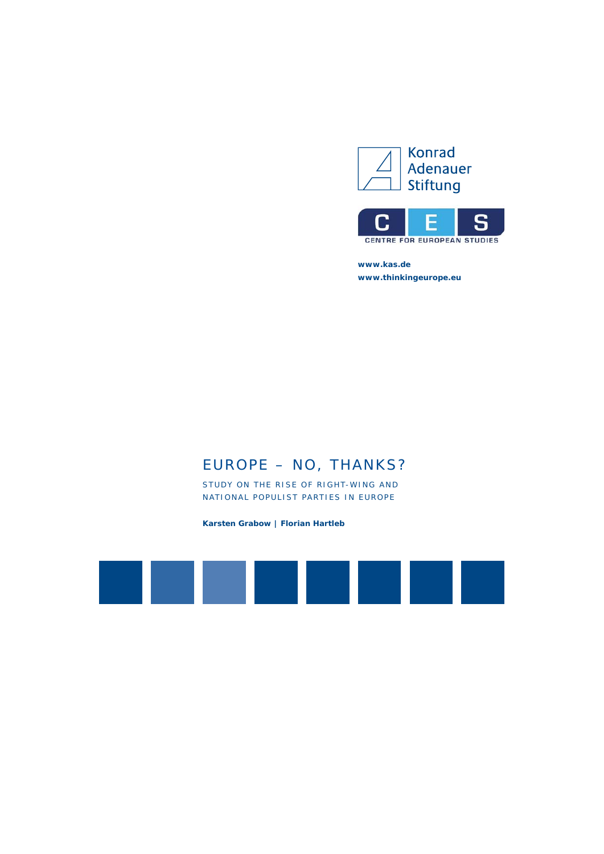



**www.kas.de www.thinkingeurope.eu**

# EUROPE – NO, THANKS?

STUDY ON THE RISE OF RIGHT-WING AND NATIONAL POPULIST PARTIES IN EUROPE

**Karsten Grabow | Florian Hartleb**

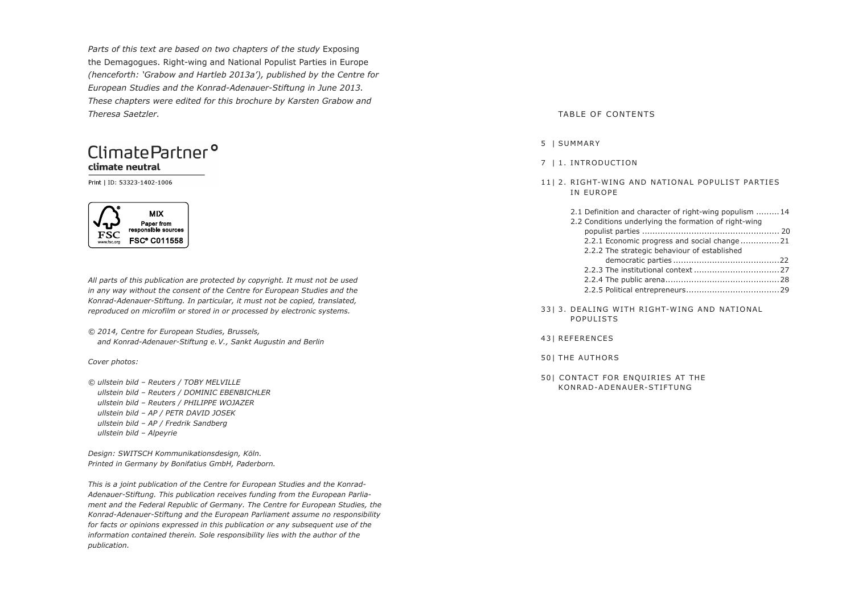Parts of this text are based on two chapters of the study Exposing the Demagogues. Right-wing and National Populist Parties in Europe *(henceforth: 'Grabow and Hartleb 2013a'), published by the Centre for European Studies and the Konrad-Adenauer-Stiftung in June 2013. These chapters were edited for this brochure by Karsten Grabow and Theresa Saetzler.*

### Climate Partner<sup>o</sup> climate neutral

Print | ID: 53323-1402-1006



*All parts of this publication are protected by copyright. It must not be used in any way without the consent of the Centre for European Studies and the Konrad-Adenauer-Stiftung. In particular, it must not be copied, translated, reproduced on microfilm or stored in or processed by electronic systems.*

*© 2014, Centre for European Studies, Brussels, and Konrad-Adenauer-Stiftung e. V., Sankt Augustin and Berlin*

*Cover photos:* 

*© ullstein bild – Reuters / TOBY MELVILLE ullstein bild – Reuters / DOMINIC EBENBICHLER ullstein bild – Reuters / PHILIPPE WOJAZER ullstein bild – AP / PETR DAVID JOSEK ullstein bild – AP / Fredrik Sandberg ullstein bild – Alpeyrie*

*Design: SWITSCH Kommunikationsdesign, Köln. Printed in Germany by Bonifatius GmbH, Paderborn.*

*This is a joint publication of the Centre for European Studies and the Konrad-Adenauer-Stiftung. This publication receives funding from the European Parliament and the Federal Republic of Germany. The Centre for European Studies, the Konrad-Adenauer-Stiftung and the European Parliament assume no responsibility for facts or opinions expressed in this publication or any subsequent use of the information contained therein. Sole responsibility lies with the author of the publication.* 

#### TABLE OF CONTENTS

#### 5 | SUMMARY

- 7 | 1. INTRODUCTION
- 11| 2. RIGHT-WING AND NATIONAL POPULIST PARTIES IN EUROPE

| 2.1 Definition and character of right-wing populism 14 |  |
|--------------------------------------------------------|--|
| 2.2 Conditions underlying the formation of right-wing  |  |
|                                                        |  |
| 2.2.1 Economic progress and social change21            |  |
| 2.2.2 The strategic behaviour of established           |  |
|                                                        |  |
|                                                        |  |
|                                                        |  |
|                                                        |  |
|                                                        |  |

3313. DEALING WITH RIGHT-WING AND NATIONAL POPULISTS

- 43| REFERENCES
- 50| THE AUTHORS
- 50| CONTACT FOR ENQUIRIES AT THE KONRAD-ADENAUER-STIFTUNG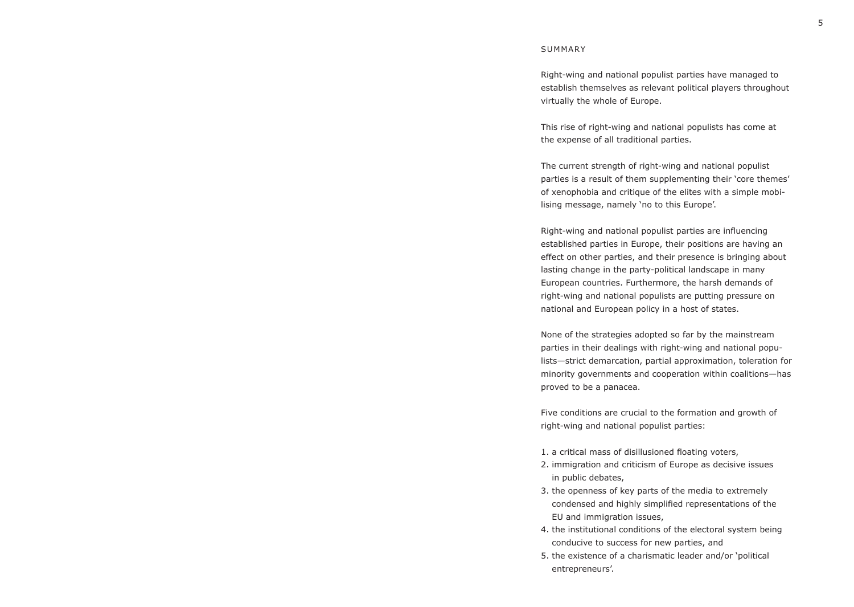Right-wing and national populist parties have managed to establish themselves as relevant political players throughout virtually the whole of Europe.

This rise of right-wing and national populists has come at the expense of all traditional parties.

The current strength of right-wing and national populist parties is a result of them supplementing their 'core themes' of xenophobia and critique of the elites with a simple mobilising message, namely 'no to this Europe'.

Right-wing and national populist parties are influencing established parties in Europe, their positions are having an effect on other parties, and their presence is bringing about lasting change in the party-political landscape in many European countries. Furthermore, the harsh demands of right-wing and national populists are putting pressure on national and European policy in a host of states.

None of the strategies adopted so far by the mainstream parties in their dealings with right-wing and national populists—strict demarcation, partial approximation, toleration for minority governments and cooperation within coalitions—has proved to be a panacea.

Five conditions are crucial to the formation and growth of right-wing and national populist parties:

- 1. a critical mass of disillusioned floating voters,
- 2. immigration and criticism of Europe as decisive issues in public debates,
- 3. the openness of key parts of the media to extremely condensed and highly simplified representations of the EU and immigration issues,
- 4. the institutional conditions of the electoral system being conducive to success for new parties, and
- 5. the existence of a charismatic leader and/or 'political entrepreneurs'.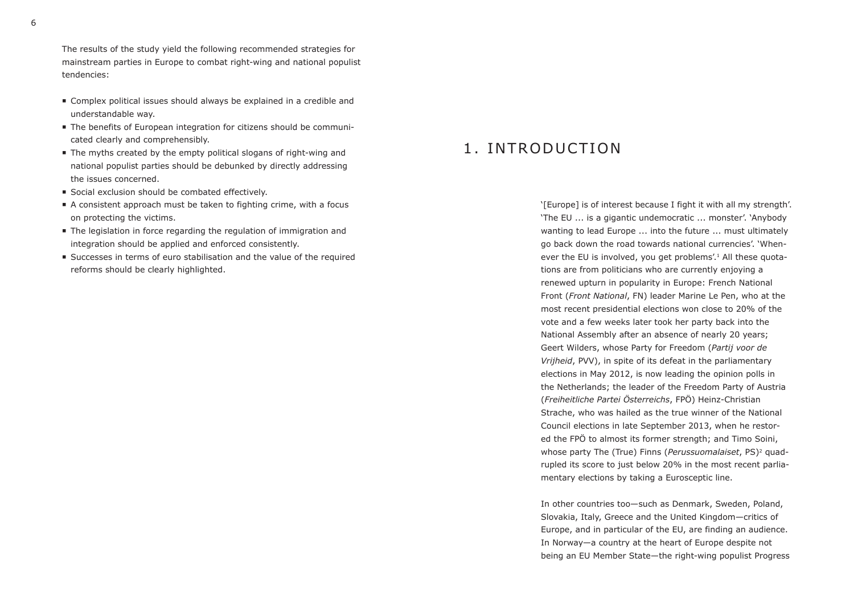The results of the study yield the following recommended strategies for mainstream parties in Europe to combat right-wing and national populist tendencies:

- Complex political issues should always be explained in a credible and understandable way.
- The benefits of European integration for citizens should be communicated clearly and comprehensibly.
- The myths created by the empty political slogans of right-wing and national populist parties should be debunked by directly addressing the issues concerned.
- Social exclusion should be combated effectively.
- A consistent approach must be taken to fighting crime, with a focus on protecting the victims.
- The legislation in force regarding the regulation of immigration and integration should be applied and enforced consistently.
- Successes in terms of euro stabilisation and the value of the required reforms should be clearly highlighted.

### 1 INTRODUCTION

'[Europe] is of interest because I fight it with all my strength'. 'The EU ... is a gigantic undemocratic ... monster'. 'Anybody wanting to lead Europe ... into the future ... must ultimately go back down the road towards national currencies'. 'Whenever the EU is involved, you get problems'.<sup>1</sup> All these quotations are from politicians who are currently enjoying a renewed upturn in popularity in Europe: French National Front (*Front National*, FN) leader Marine Le Pen, who at the most recent presidential elections won close to 20% of the vote and a few weeks later took her party back into the National Assembly after an absence of nearly 20 years; Geert Wilders, whose Party for Freedom (*Partij voor de Vrijheid*, PVV), in spite of its defeat in the parliamentary elections in May 2012, is now leading the opinion polls in the Netherlands; the leader of the Freedom Party of Austria (*Freiheitliche Partei Österreichs*, FPÖ) Heinz-Christian Strache, who was hailed as the true winner of the National Council elections in late September 2013, when he restored the FPÖ to almost its former strength; and Timo Soini, whose party The (True) Finns (*Perussuomalaiset*, PS)2 quadrupled its score to just below 20% in the most recent parliamentary elections by taking a Eurosceptic line.

In other countries too—such as Denmark, Sweden, Poland, Slovakia, Italy, Greece and the United Kingdom—critics of Europe, and in particular of the EU, are finding an audience. In Norway—a country at the heart of Europe despite not being an EU Member State—the right-wing populist Progress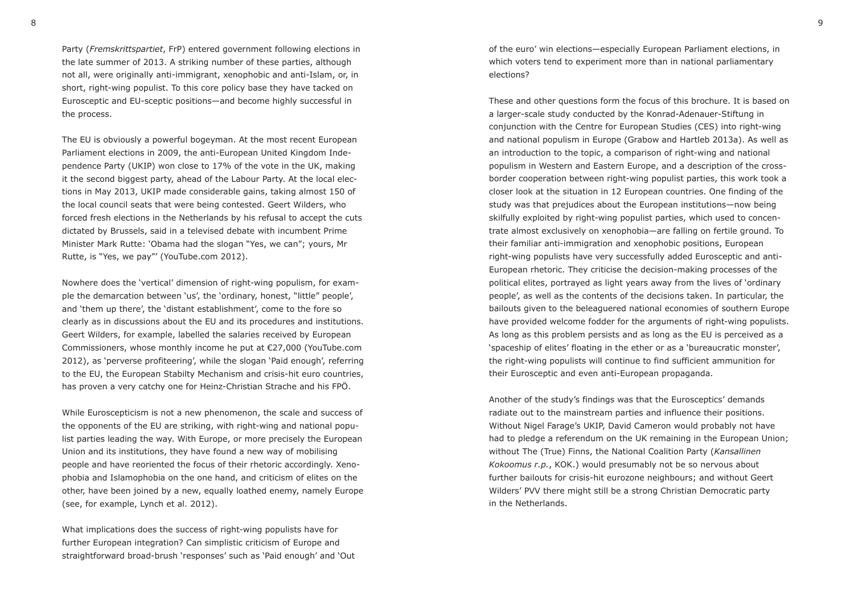Party (*Fremskrittspartiet*, FrP) entered government following elections in the late summer of 2013. A striking number of these parties, although not all, were originally anti-immigrant, xenophobic and anti-Islam, or, in short, right-wing populist. To this core policy base they have tacked on Eurosceptic and EU-sceptic positions—and become highly successful in the process.

The EU is obviously a powerful bogeyman. At the most recent European Parliament elections in 2009, the anti-European United Kingdom Independence Party (UKIP) won close to 17% of the vote in the UK, making it the second biggest party, ahead of the Labour Party. At the local elections in May 2013, UKIP made considerable gains, taking almost 150 of the local council seats that were being contested. Geert Wilders, who forced fresh elections in the Netherlands by his refusal to accept the cuts dictated by Brussels, said in a televised debate with incumbent Prime Minister Mark Rutte: 'Obama had the slogan "Yes, we can"; yours, Mr Rutte, is "Yes, we pay"' (YouTube.com 2012).

Nowhere does the 'vertical' dimension of right-wing populism, for example the demarcation between 'us', the 'ordinary, honest, "little" people', and 'them up there', the 'distant establishment', come to the fore so clearly as in discussions about the EU and its procedures and institutions. Geert Wilders, for example, labelled the salaries received by European Commissioners, whose monthly income he put at €27,000 (YouTube.com 2012), as 'perverse profiteering', while the slogan 'Paid enough', referring to the EU, the European Stabilty Mechanism and crisis-hit euro countries, has proven a very catchy one for Heinz-Christian Strache and his FPÖ.

While Euroscepticism is not a new phenomenon, the scale and success of the opponents of the EU are striking, with right-wing and national populist parties leading the way. With Europe, or more precisely the European Union and its institutions, they have found a new way of mobilising people and have reoriented the focus of their rhetoric accordingly. Xenophobia and Islamophobia on the one hand, and criticism of elites on the other, have been joined by a new, equally loathed enemy, namely Europe (see, for example, Lynch et al. 2012).

What implications does the success of right-wing populists have for further European integration? Can simplistic criticism of Europe and straightforward broad-brush 'responses' such as 'Paid enough' and 'Out

of the euro' win elections—especially European Parliament elections, in which voters tend to experiment more than in national parliamentary elections?

These and other questions form the focus of this brochure. It is based on a larger-scale study conducted by the Konrad-Adenauer-Stiftung in conjunction with the Centre for European Studies (CES) into right-wing and national populism in Europe (Grabow and Hartleb 2013a). As well as an introduction to the topic, a comparison of right-wing and national populism in Western and Eastern Europe, and a description of the crossborder cooperation between right-wing populist parties, this work took a closer look at the situation in 12 European countries. One finding of the study was that prejudices about the European institutions—now being skilfully exploited by right-wing populist parties, which used to concentrate almost exclusively on xenophobia—are falling on fertile ground. To their familiar anti-immigration and xenophobic positions, European right-wing populists have very successfully added Eurosceptic and anti-European rhetoric. They criticise the decision-making processes of the political elites, portrayed as light years away from the lives of 'ordinary people', as well as the contents of the decisions taken. In particular, the bailouts given to the beleaguered national economies of southern Europe have provided welcome fodder for the arguments of right-wing populists. As long as this problem persists and as long as the EU is perceived as a 'spaceship of elites' floating in the ether or as a 'bureaucratic monster', the right-wing populists will continue to find sufficient ammunition for their Eurosceptic and even anti-European propaganda.

Another of the study's findings was that the Eurosceptics' demands radiate out to the mainstream parties and influence their positions. Without Nigel Farage's UKIP, David Cameron would probably not have had to pledge a referendum on the UK remaining in the European Union; without The (True) Finns, the National Coalition Party (*Kansallinen Kokoomus r.p.*, KOK.) would presumably not be so nervous about further bailouts for crisis-hit eurozone neighbours; and without Geert Wilders' PVV there might still be a strong Christian Democratic party in the Netherlands.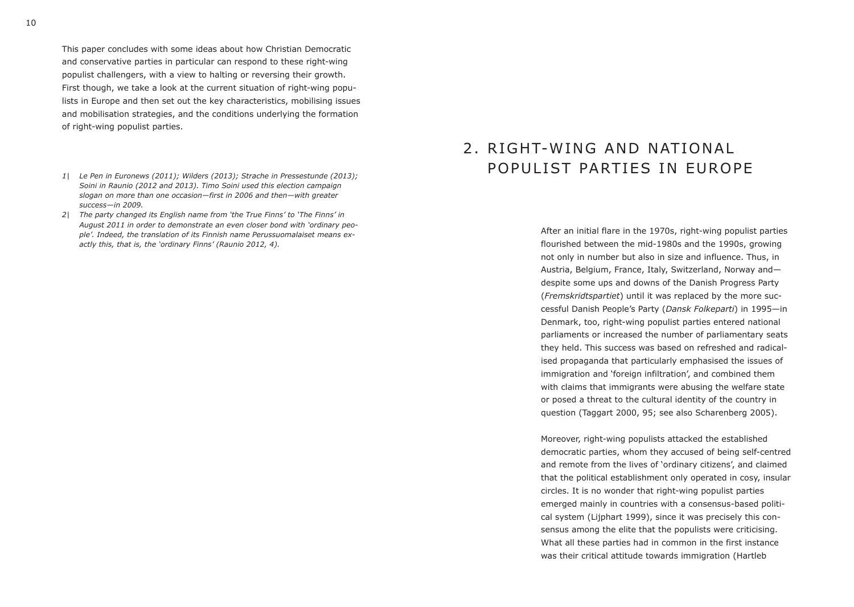This paper concludes with some ideas about how Christian Democratic and conservative parties in particular can respond to these right-wing populist challengers, with a view to halting or reversing their growth. First though, we take a look at the current situation of right-wing populists in Europe and then set out the key characteristics, mobilising issues and mobilisation strategies, and the conditions underlying the formation of right-wing populist parties.

- *1| Le Pen in Euronews (2011); Wilders (2013); Strache in Pressestunde (2013); Soini in Raunio (2012 and 2013). Timo Soini used this election campaign slogan on more than one occasion—first in 2006 and then—with greater success—in 2009.*
- *2| The party changed its English name from 'the True Finns' to 'The Finns' in August 2011 in order to demonstrate an even closer bond with 'ordinary people'. Indeed, the translation of its Finnish name Perussuomalaiset means exactly this, that is, the 'ordinary Finns' (Raunio 2012, 4).*

## 2. RIGHT-WING AND NATIONAL POPULIST PARTIES IN EUROPE

After an initial flare in the 1970s, right-wing populist parties flourished between the mid-1980s and the 1990s, growing not only in number but also in size and influence. Thus, in Austria, Belgium, France, Italy, Switzerland, Norway and despite some ups and downs of the Danish Progress Party (*Fremskridtspartiet*) until it was replaced by the more successful Danish People's Party (*Dansk Folkeparti*) in 1995—in Denmark, too, right-wing populist parties entered national parliaments or increased the number of parliamentary seats they held. This success was based on refreshed and radicalised propaganda that particularly emphasised the issues of immigration and 'foreign infiltration', and combined them with claims that immigrants were abusing the welfare state or posed a threat to the cultural identity of the country in question (Taggart 2000, 95; see also Scharenberg 2005).

Moreover, right-wing populists attacked the established democratic parties, whom they accused of being self-centred and remote from the lives of 'ordinary citizens', and claimed that the political establishment only operated in cosy, insular circles. It is no wonder that right-wing populist parties emerged mainly in countries with a consensus-based political system (Lijphart 1999), since it was precisely this consensus among the elite that the populists were criticising. What all these parties had in common in the first instance was their critical attitude towards immigration (Hartleb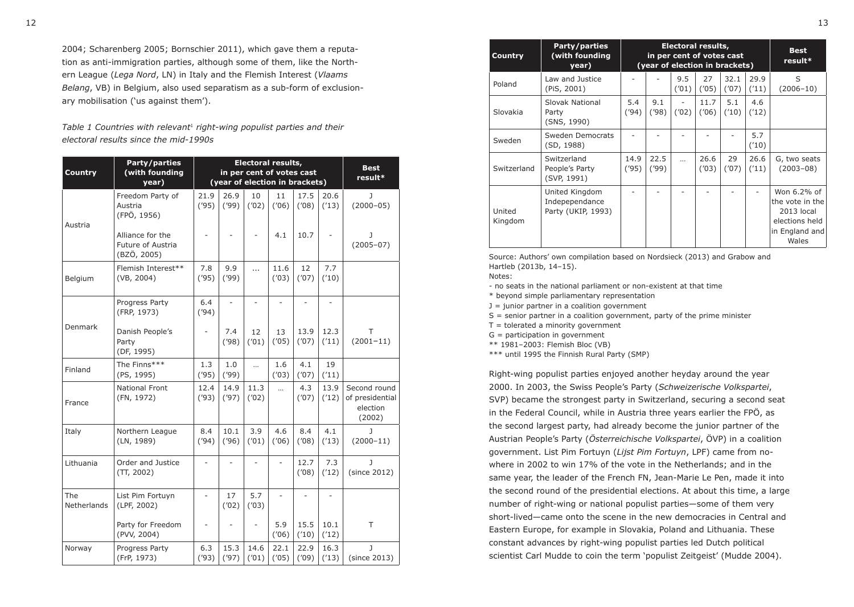2004; Scharenberg 2005; Bornschier 2011), which gave them a reputation as anti-immigration parties, although some of them, like the Northern League (*Lega Nord*, LN) in Italy and the Flemish Interest (*Vlaams Belang*, VB) in Belgium, also used separatism as a sub-form of exclusionary mobilisation ('us against them').

*Table 1 Countries with relevant*1 *right-wing populist parties and their electoral results since the mid-1990s*

| <b>Country</b>     | Party/parties<br><b>Electoral results,</b><br>(with founding<br>in per cent of votes cast<br>(year of election in brackets)<br>year) |               |               |                |               |               |                | <b>Best</b><br>result*                                |  |
|--------------------|--------------------------------------------------------------------------------------------------------------------------------------|---------------|---------------|----------------|---------------|---------------|----------------|-------------------------------------------------------|--|
| Austria            | Freedom Party of<br>Austria<br>(FPÖ, 1956)                                                                                           | 21.9<br>(95)  | 26.9<br>(99)  | 10<br>(102)    | 11<br>(706)   | 17.5<br>(708) | 20.6<br>('13)  | J<br>$(2000 - 05)$                                    |  |
|                    | Alliance for the<br>Future of Austria<br>(BZÖ, 2005)                                                                                 |               |               |                | 4.1           | 10.7          |                | J<br>$(2005 - 07)$                                    |  |
| Belgium            | Flemish Interest**<br>(VB, 2004)                                                                                                     | 7.8<br>(95)   | 9.9<br>('99)  | $\ddotsc$      | 11.6<br>(103) | 12<br>(107)   | 7.7<br>('10)   |                                                       |  |
|                    | Progress Party<br>(FRP, 1973)                                                                                                        | 6.4<br>(94)   | L.            | $\overline{a}$ | ÷.            | ÷             | $\overline{a}$ |                                                       |  |
| <b>Denmark</b>     | Danish People's<br>Party<br>(DF, 1995)                                                                                               | ÷,            | 7.4<br>(98)   | 12<br>('01)    | 13<br>(705)   | 13.9<br>(107) | 12.3<br>('11)  | т<br>$(2001 - 11)$                                    |  |
| Finland            | The Finns***<br>(PS, 1995)                                                                                                           | 1.3<br>(95)   | 1.0<br>(99)   | $\cdots$       | 1.6<br>(103)  | 4.1<br>(107)  | 19<br>('11)    |                                                       |  |
| France             | <b>National Front</b><br>(FN, 1972)                                                                                                  | 12.4<br>('93) | 14.9<br>('97) | 11.3<br>(102)  | $\cdots$      | 4.3<br>(107)  | 13.9<br>('12)  | Second round<br>of presidential<br>election<br>(2002) |  |
| Italy              | Northern League<br>(LN, 1989)                                                                                                        | 8.4<br>('94)  | 10.1<br>('96) | 3.9<br>(101)   | 4.6<br>(106)  | 8.4<br>(708)  | 4.1<br>('13)   | J<br>$(2000 - 11)$                                    |  |
| Lithuania          | Order and Justice<br>(TT, 2002)                                                                                                      |               |               |                |               | 12.7<br>(708) | 7.3<br>('12)   | J<br>(since 2012)                                     |  |
| The<br>Netherlands | List Pim Fortuyn<br>(LPF, 2002)                                                                                                      | ÷,            | 17<br>(102)   | 5.7<br>(103)   |               |               |                |                                                       |  |
|                    | Party for Freedom<br>(PVV, 2004)                                                                                                     |               |               | ÷,             | 5.9<br>(706)  | 15.5<br>('10) | 10.1<br>('12)  | T                                                     |  |
| Norway             | Progress Party<br>(FrP, 1973)                                                                                                        | 6.3<br>(93)   | 15.3<br>('97) | 14.6<br>('01)  | 22.1<br>(705) | 22.9<br>(109) | 16.3<br>('13)  | J<br>(since 2013)                                     |  |

| <b>Country</b>    | Party/parties<br>(with founding)<br>year)              |               | Electoral results,<br>in per cent of votes cast<br>(year of election in brackets) | <b>Best</b><br>result* |               |               |               |                                                                                           |
|-------------------|--------------------------------------------------------|---------------|-----------------------------------------------------------------------------------|------------------------|---------------|---------------|---------------|-------------------------------------------------------------------------------------------|
| Poland            | Law and Justice<br>(PiS, 2001)                         |               |                                                                                   | 9.5<br>(101)           | 27<br>(705)   | 32.1<br>('07) | 29.9<br>('11) | S<br>$(2006 - 10)$                                                                        |
| Slovakia          | Slovak National<br>Party<br>(SNS, 1990)                | 5.4<br>('94)  | 9.1<br>(98)                                                                       | (102)                  | 11.7<br>(706) | 5.1<br>('10)  | 4.6<br>('12)  |                                                                                           |
| Sweden            | Sweden Democrats<br>(SD, 1988)                         |               |                                                                                   |                        |               |               | 5.7<br>('10)  |                                                                                           |
| Switzerland       | Switzerland<br>People's Party<br>(SVP, 1991)           | 14.9<br>('95) | 22.5<br>(99)                                                                      | $\ddotsc$              | 26.6<br>(103) | 29<br>(107)   | 26.6<br>('11) | G, two seats<br>$(2003 - 08)$                                                             |
| United<br>Kingdom | United Kingdom<br>Indepependance<br>Party (UKIP, 1993) |               |                                                                                   |                        |               |               |               | Won 6.2% of<br>the vote in the<br>2013 local<br>elections held<br>in England and<br>Wales |

Source: Authors' own compilation based on Nordsieck (2013) and Grabow and Hartleb (2013b, 14–15).

Notes:

- no seats in the national parliament or non-existent at that time

\* beyond simple parliamentary representation

 $J =$  junior partner in a coalition government

 $S =$  senior partner in a coalition government, party of the prime minister

 $T =$  tolerated a minority government

 $G =$  participation in government

\*\* 1981–2003: Flemish Bloc (VB)

\*\*\* until 1995 the Finnish Rural Party (SMP)

Right-wing populist parties enjoyed another heyday around the year 2000. In 2003, the Swiss People's Party (*Schweizerische Volkspartei*, SVP) became the strongest party in Switzerland, securing a second seat in the Federal Council, while in Austria three years earlier the FPÖ, as the second largest party, had already become the junior partner of the Austrian People's Party (*Österreichische Volkspartei*, ÖVP) in a coalition government. List Pim Fortuyn (*Lijst Pim Fortuyn*, LPF) came from nowhere in 2002 to win 17% of the vote in the Netherlands; and in the same year, the leader of the French FN, Jean-Marie Le Pen, made it into the second round of the presidential elections. At about this time, a large number of right-wing or national populist parties—some of them very short-lived—came onto the scene in the new democracies in Central and Eastern Europe, for example in Slovakia, Poland and Lithuania. These constant advances by right-wing populist parties led Dutch political scientist Carl Mudde to coin the term 'populist Zeitgeist' (Mudde 2004).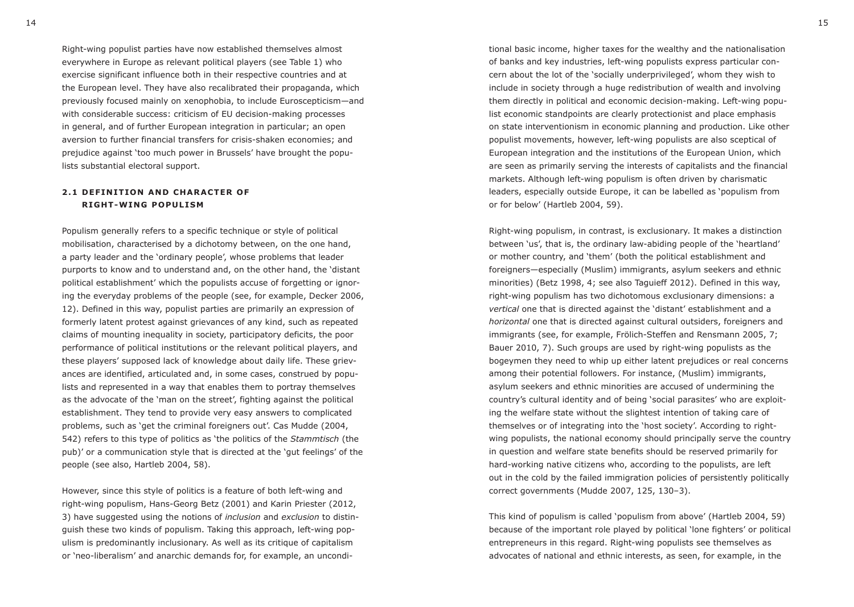Right-wing populist parties have now established themselves almost everywhere in Europe as relevant political players (see Table 1) who exercise significant influence both in their respective countries and at the European level. They have also recalibrated their propaganda, which previously focused mainly on xenophobia, to include Euroscepticism—and with considerable success: criticism of EU decision-making processes in general, and of further European integration in particular; an open aversion to further financial transfers for crisis-shaken economies; and prejudice against 'too much power in Brussels' have brought the populists substantial electoral support.

#### **2.1 DEFINITION AND CHARACTER OF RIGHT-WING POPULISM**

Populism generally refers to a specific technique or style of political mobilisation, characterised by a dichotomy between, on the one hand, a party leader and the 'ordinary people', whose problems that leader purports to know and to understand and, on the other hand, the 'distant political establishment' which the populists accuse of forgetting or ignoring the everyday problems of the people (see, for example, Decker 2006, 12). Defined in this way, populist parties are primarily an expression of formerly latent protest against grievances of any kind, such as repeated claims of mounting inequality in society, participatory deficits, the poor performance of political institutions or the relevant political players, and these players' supposed lack of knowledge about daily life. These grievances are identified, articulated and, in some cases, construed by populists and represented in a way that enables them to portray themselves as the advocate of the 'man on the street', fighting against the political establishment. They tend to provide very easy answers to complicated problems, such as 'get the criminal foreigners out'. Cas Mudde (2004, 542) refers to this type of politics as 'the politics of the *Stammtisch* (the pub)' or a communication style that is directed at the 'gut feelings' of the people (see also, Hartleb 2004, 58).

However, since this style of politics is a feature of both left-wing and right-wing populism, Hans-Georg Betz (2001) and Karin Priester (2012, 3) have suggested using the notions of *inclusion* and *exclusion* to distinguish these two kinds of populism. Taking this approach, left-wing populism is predominantly inclusionary. As well as its critique of capitalism or 'neo-liberalism' and anarchic demands for, for example, an uncondi-

tional basic income, higher taxes for the wealthy and the nationalisation of banks and key industries, left-wing populists express particular concern about the lot of the 'socially underprivileged', whom they wish to include in society through a huge redistribution of wealth and involving them directly in political and economic decision-making. Left-wing populist economic standpoints are clearly protectionist and place emphasis on state interventionism in economic planning and production. Like other populist movements, however, left-wing populists are also sceptical of European integration and the institutions of the European Union, which are seen as primarily serving the interests of capitalists and the financial markets. Although left-wing populism is often driven by charismatic leaders, especially outside Europe, it can be labelled as 'populism from or for below' (Hartleb 2004, 59).

Right-wing populism, in contrast, is exclusionary. It makes a distinction between 'us', that is, the ordinary law-abiding people of the 'heartland' or mother country, and 'them' (both the political establishment and foreigners—especially (Muslim) immigrants, asylum seekers and ethnic minorities) (Betz 1998, 4; see also Taguieff 2012). Defined in this way, right-wing populism has two dichotomous exclusionary dimensions: a *vertical* one that is directed against the 'distant' establishment and a *horizontal* one that is directed against cultural outsiders, foreigners and immigrants (see, for example, Frölich-Steffen and Rensmann 2005, 7; Bauer 2010, 7). Such groups are used by right-wing populists as the bogeymen they need to whip up either latent prejudices or real concerns among their potential followers. For instance, (Muslim) immigrants, asylum seekers and ethnic minorities are accused of undermining the country's cultural identity and of being 'social parasites' who are exploiting the welfare state without the slightest intention of taking care of themselves or of integrating into the 'host society'. According to rightwing populists, the national economy should principally serve the country in question and welfare state benefits should be reserved primarily for hard-working native citizens who, according to the populists, are left out in the cold by the failed immigration policies of persistently politically correct governments (Mudde 2007, 125, 130–3).

This kind of populism is called 'populism from above' (Hartleb 2004, 59) because of the important role played by political 'lone fighters' or political entrepreneurs in this regard. Right-wing populists see themselves as advocates of national and ethnic interests, as seen, for example, in the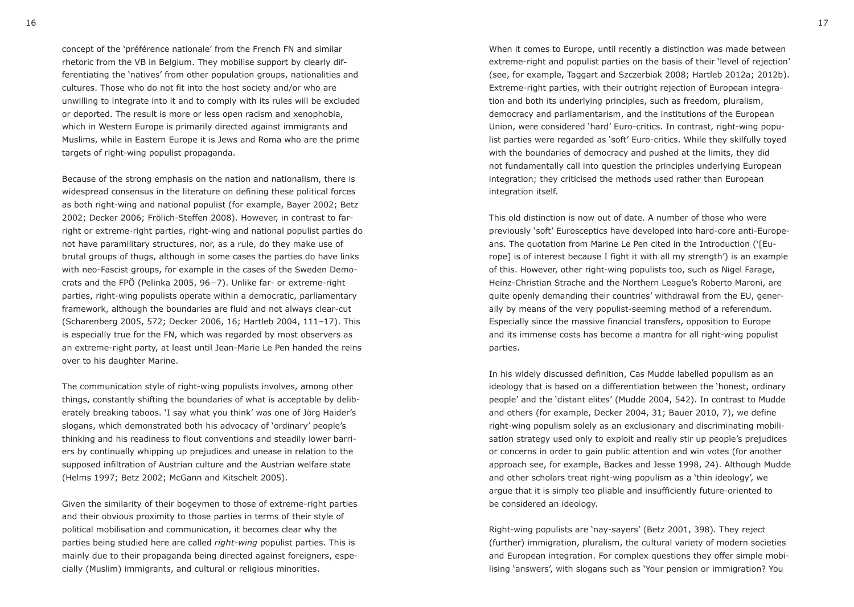concept of the 'préférence nationale' from the French FN and similar rhetoric from the VB in Belgium. They mobilise support by clearly differentiating the 'natives' from other population groups, nationalities and cultures. Those who do not fit into the host society and/or who are unwilling to integrate into it and to comply with its rules will be excluded or deported. The result is more or less open racism and xenophobia, which in Western Europe is primarily directed against immigrants and Muslims, while in Eastern Europe it is Jews and Roma who are the prime targets of right-wing populist propaganda.

Because of the strong emphasis on the nation and nationalism, there is widespread consensus in the literature on defining these political forces as both right-wing and national populist (for example, Bayer 2002; Betz 2002; Decker 2006; Frölich-Steffen 2008). However, in contrast to farright or extreme-right parties, right-wing and national populist parties do not have paramilitary structures, nor, as a rule, do they make use of brutal groups of thugs, although in some cases the parties do have links with neo-Fascist groups, for example in the cases of the Sweden Democrats and the FPÖ (Pelinka 2005, 96−7). Unlike far- or extreme-right parties, right-wing populists operate within a democratic, parliamentary framework, although the boundaries are fluid and not always clear-cut (Scharenberg 2005, 572; Decker 2006, 16; Hartleb 2004, 111–17). This is especially true for the FN, which was regarded by most observers as an extreme-right party, at least until Jean-Marie Le Pen handed the reins over to his daughter Marine.

The communication style of right-wing populists involves, among other things, constantly shifting the boundaries of what is acceptable by deliberately breaking taboos. 'I say what you think' was one of Jörg Haider's slogans, which demonstrated both his advocacy of 'ordinary' people's thinking and his readiness to flout conventions and steadily lower barriers by continually whipping up prejudices and unease in relation to the supposed infiltration of Austrian culture and the Austrian welfare state (Helms 1997; Betz 2002; McGann and Kitschelt 2005).

Given the similarity of their bogeymen to those of extreme-right parties and their obvious proximity to those parties in terms of their style of political mobilisation and communication, it becomes clear why the parties being studied here are called *right-wing* populist parties. This is mainly due to their propaganda being directed against foreigners, especially (Muslim) immigrants, and cultural or religious minorities.

When it comes to Europe, until recently a distinction was made between extreme-right and populist parties on the basis of their 'level of rejection' (see, for example, Taggart and Szczerbiak 2008; Hartleb 2012a; 2012b). Extreme-right parties, with their outright rejection of European integration and both its underlying principles, such as freedom, pluralism, democracy and parliamentarism, and the institutions of the European Union, were considered 'hard' Euro-critics. In contrast, right-wing populist parties were regarded as 'soft' Euro-critics. While they skilfully toyed with the boundaries of democracy and pushed at the limits, they did not fundamentally call into question the principles underlying European integration; they criticised the methods used rather than European integration itself.

This old distinction is now out of date. A number of those who were previously 'soft' Eurosceptics have developed into hard-core anti-Europeans. The quotation from Marine Le Pen cited in the Introduction ('[Europe] is of interest because I fight it with all my strength') is an example of this. However, other right-wing populists too, such as Nigel Farage, Heinz-Christian Strache and the Northern League's Roberto Maroni, are quite openly demanding their countries' withdrawal from the EU, generally by means of the very populist-seeming method of a referendum. Especially since the massive financial transfers, opposition to Europe and its immense costs has become a mantra for all right-wing populist parties.

In his widely discussed definition, Cas Mudde labelled populism as an ideology that is based on a differentiation between the 'honest, ordinary people' and the 'distant elites' (Mudde 2004, 542). In contrast to Mudde and others (for example, Decker 2004, 31; Bauer 2010, 7), we define right-wing populism solely as an exclusionary and discriminating mobilisation strategy used only to exploit and really stir up people's prejudices or concerns in order to gain public attention and win votes (for another approach see, for example, Backes and Jesse 1998, 24). Although Mudde and other scholars treat right-wing populism as a 'thin ideology', we argue that it is simply too pliable and insufficiently future-oriented to be considered an ideology.

Right-wing populists are 'nay-sayers' (Betz 2001, 398). They reject (further) immigration, pluralism, the cultural variety of modern societies and European integration. For complex questions they offer simple mobilising 'answers', with slogans such as 'Your pension or immigration? You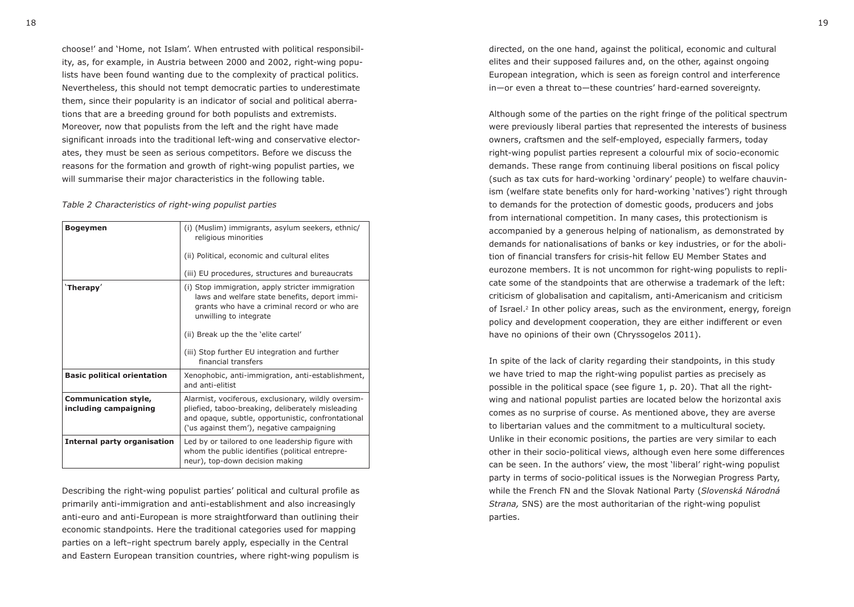choose!' and 'Home, not Islam'. When entrusted with political responsibility, as, for example, in Austria between 2000 and 2002, right-wing populists have been found wanting due to the complexity of practical politics. Nevertheless, this should not tempt democratic parties to underestimate them, since their popularity is an indicator of social and political aberrations that are a breeding ground for both populists and extremists. Moreover, now that populists from the left and the right have made significant inroads into the traditional left-wing and conservative electorates, they must be seen as serious competitors. Before we discuss the reasons for the formation and growth of right-wing populist parties, we will summarise their major characteristics in the following table.

#### *Table 2 Characteristics of right-wing populist parties*

| <b>Bogeymen</b>                                      | (i) (Muslim) immigrants, asylum seekers, ethnic/<br>religious minorities                                                                                                                                    |
|------------------------------------------------------|-------------------------------------------------------------------------------------------------------------------------------------------------------------------------------------------------------------|
|                                                      | (ii) Political, economic and cultural elites                                                                                                                                                                |
|                                                      | (iii) EU procedures, structures and bureaucrats                                                                                                                                                             |
| 'Therapy'                                            | (i) Stop immigration, apply stricter immigration<br>laws and welfare state benefits, deport immi-<br>grants who have a criminal record or who are<br>unwilling to integrate                                 |
|                                                      | (ii) Break up the the 'elite cartel'                                                                                                                                                                        |
|                                                      | (iii) Stop further EU integration and further<br>financial transfers                                                                                                                                        |
| <b>Basic political orientation</b>                   | Xenophobic, anti-immigration, anti-establishment,<br>and anti-elitist                                                                                                                                       |
| <b>Communication style,</b><br>including campaigning | Alarmist, vociferous, exclusionary, wildly oversim-<br>pliefied, taboo-breaking, deliberately misleading<br>and opaque, subtle, opportunistic, confrontational<br>('us against them'), negative campaigning |
| <b>Internal party organisation</b>                   | Led by or tailored to one leadership figure with<br>whom the public identifies (political entrepre-<br>neur), top-down decision making                                                                      |

Describing the right-wing populist parties' political and cultural profile as primarily anti-immigration and anti-establishment and also increasingly anti-euro and anti-European is more straightforward than outlining their economic standpoints. Here the traditional categories used for mapping parties on a left–right spectrum barely apply, especially in the Central and Eastern European transition countries, where right-wing populism is

directed, on the one hand, against the political, economic and cultural elites and their supposed failures and, on the other, against ongoing European integration, which is seen as foreign control and interference in—or even a threat to—these countries' hard-earned sovereignty.

Although some of the parties on the right fringe of the political spectrum were previously liberal parties that represented the interests of business owners, craftsmen and the self-employed, especially farmers, today right-wing populist parties represent a colourful mix of socio-economic demands. These range from continuing liberal positions on fiscal policy (such as tax cuts for hard-working 'ordinary' people) to welfare chauvinism (welfare state benefits only for hard-working 'natives') right through to demands for the protection of domestic goods, producers and jobs from international competition. In many cases, this protectionism is accompanied by a generous helping of nationalism, as demonstrated by demands for nationalisations of banks or key industries, or for the abolition of financial transfers for crisis-hit fellow EU Member States and eurozone members. It is not uncommon for right-wing populists to replicate some of the standpoints that are otherwise a trademark of the left: criticism of globalisation and capitalism, anti-Americanism and criticism of Israel.2 In other policy areas, such as the environment, energy, foreign policy and development cooperation, they are either indifferent or even have no opinions of their own (Chryssogelos 2011).

In spite of the lack of clarity regarding their standpoints, in this study we have tried to map the right-wing populist parties as precisely as possible in the political space (see figure 1, p. 20). That all the rightwing and national populist parties are located below the horizontal axis comes as no surprise of course. As mentioned above, they are averse to libertarian values and the commitment to a multicultural society. Unlike in their economic positions, the parties are very similar to each other in their socio-political views, although even here some differences can be seen. In the authors' view, the most 'liberal' right-wing populist party in terms of socio-political issues is the Norwegian Progress Party, while the French FN and the Slovak National Party (*Slovenská Národná Strana,* SNS) are the most authoritarian of the right-wing populist parties.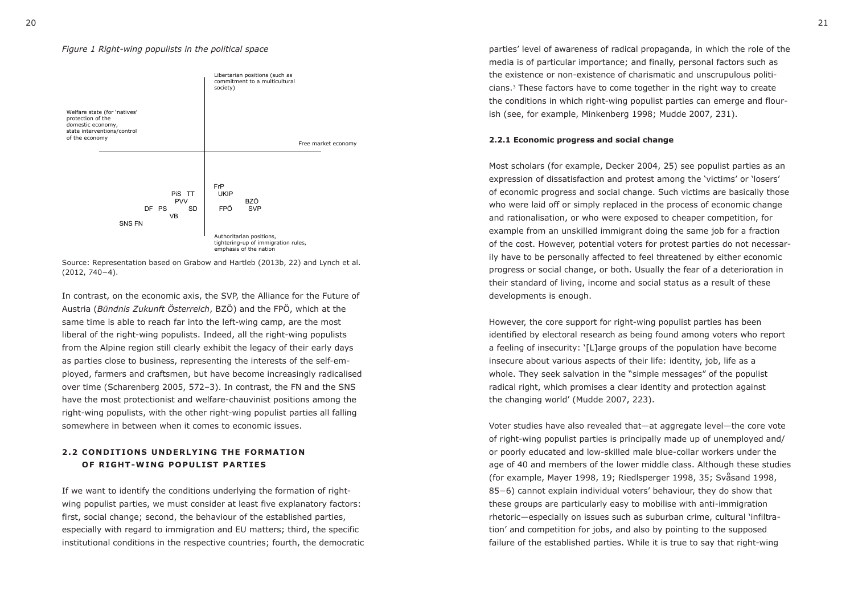

Source: Representation based on Grabow and Hartleb (2013b, 22) and Lynch et al. (2012, 740−4).

In contrast, on the economic axis, the SVP, the Alliance for the Future of Austria (*Bündnis Zukunft Österreich*, BZÖ) and the FPÖ, which at the same time is able to reach far into the left-wing camp, are the most liberal of the right-wing populists. Indeed, all the right-wing populists from the Alpine region still clearly exhibit the legacy of their early days as parties close to business, representing the interests of the self-employed, farmers and craftsmen, but have become increasingly radicalised over time (Scharenberg 2005, 572–3). In contrast, the FN and the SNS have the most protectionist and welfare-chauvinist positions among the right-wing populists, with the other right-wing populist parties all falling somewhere in between when it comes to economic issues.

### **2.2 CONDITIONS UNDERLYING THE FORMATION OF RIGHT-WING POPULIST PARTIES**

If we want to identify the conditions underlying the formation of rightwing populist parties, we must consider at least five explanatory factors: first, social change; second, the behaviour of the established parties, especially with regard to immigration and EU matters; third, the specific institutional conditions in the respective countries; fourth, the democratic

*Figure 1 Right-wing populists in the political space* parties' level of awareness of radical propaganda, in which the role of the media is of particular importance; and finally, personal factors such as the existence or non-existence of charismatic and unscrupulous politicians.3 These factors have to come together in the right way to create the conditions in which right-wing populist parties can emerge and flourish (see, for example, Minkenberg 1998; Mudde 2007, 231).

#### **2.2.1 Economic progress and social change**

Most scholars (for example, Decker 2004, 25) see populist parties as an expression of dissatisfaction and protest among the 'victims' or 'losers' of economic progress and social change. Such victims are basically those who were laid off or simply replaced in the process of economic change and rationalisation, or who were exposed to cheaper competition, for example from an unskilled immigrant doing the same job for a fraction of the cost. However, potential voters for protest parties do not necessarily have to be personally affected to feel threatened by either economic progress or social change, or both. Usually the fear of a deterioration in their standard of living, income and social status as a result of these developments is enough.

However, the core support for right-wing populist parties has been identified by electoral research as being found among voters who report a feeling of insecurity: '[L]arge groups of the population have become insecure about various aspects of their life: identity, job, life as a whole. They seek salvation in the "simple messages" of the populist radical right, which promises a clear identity and protection against the changing world' (Mudde 2007, 223).

Voter studies have also revealed that—at aggregate level—the core vote of right-wing populist parties is principally made up of unemployed and/ or poorly educated and low-skilled male blue-collar workers under the age of 40 and members of the lower middle class. Although these studies (for example, Mayer 1998, 19; Riedlsperger 1998, 35; Svåsand 1998, 85−6) cannot explain individual voters' behaviour, they do show that these groups are particularly easy to mobilise with anti-immigration rhetoric—especially on issues such as suburban crime, cultural 'infiltration' and competition for jobs, and also by pointing to the supposed failure of the established parties. While it is true to say that right-wing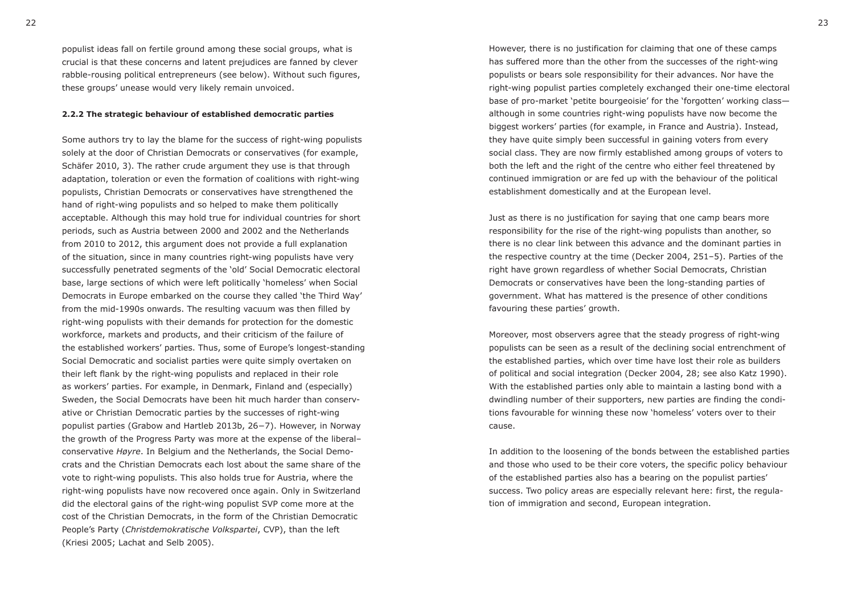populist ideas fall on fertile ground among these social groups, what is crucial is that these concerns and latent prejudices are fanned by clever rabble-rousing political entrepreneurs (see below). Without such figures, these groups' unease would very likely remain unvoiced.

#### **2.2.2 The strategic behaviour of established democratic parties**

Some authors try to lay the blame for the success of right-wing populists solely at the door of Christian Democrats or conservatives (for example, Schäfer 2010, 3). The rather crude argument they use is that through adaptation, toleration or even the formation of coalitions with right-wing populists, Christian Democrats or conservatives have strengthened the hand of right-wing populists and so helped to make them politically acceptable. Although this may hold true for individual countries for short periods, such as Austria between 2000 and 2002 and the Netherlands from 2010 to 2012, this argument does not provide a full explanation of the situation, since in many countries right-wing populists have very successfully penetrated segments of the 'old' Social Democratic electoral base, large sections of which were left politically 'homeless' when Social Democrats in Europe embarked on the course they called 'the Third Way' from the mid-1990s onwards. The resulting vacuum was then filled by right-wing populists with their demands for protection for the domestic workforce, markets and products, and their criticism of the failure of the established workers' parties. Thus, some of Europe's longest-standing Social Democratic and socialist parties were quite simply overtaken on their left flank by the right-wing populists and replaced in their role as workers' parties. For example, in Denmark, Finland and (especially) Sweden, the Social Democrats have been hit much harder than conservative or Christian Democratic parties by the successes of right-wing populist parties (Grabow and Hartleb 2013b, 26−7). However, in Norway the growth of the Progress Party was more at the expense of the liberal– conservative *Høyre*. In Belgium and the Netherlands, the Social Democrats and the Christian Democrats each lost about the same share of the vote to right-wing populists. This also holds true for Austria, where the right-wing populists have now recovered once again. Only in Switzerland did the electoral gains of the right-wing populist SVP come more at the cost of the Christian Democrats, in the form of the Christian Democratic People's Party (*Christdemokratische Volkspartei*, CVP), than the left (Kriesi 2005; Lachat and Selb 2005).

However, there is no justification for claiming that one of these camps has suffered more than the other from the successes of the right-wing populists or bears sole responsibility for their advances. Nor have the right-wing populist parties completely exchanged their one-time electoral base of pro-market 'petite bourgeoisie' for the 'forgotten' working class although in some countries right-wing populists have now become the biggest workers' parties (for example, in France and Austria). Instead, they have quite simply been successful in gaining voters from every social class. They are now firmly established among groups of voters to both the left and the right of the centre who either feel threatened by continued immigration or are fed up with the behaviour of the political establishment domestically and at the European level.

Just as there is no justification for saying that one camp bears more responsibility for the rise of the right-wing populists than another, so there is no clear link between this advance and the dominant parties in the respective country at the time (Decker 2004, 251–5). Parties of the right have grown regardless of whether Social Democrats, Christian Democrats or conservatives have been the long-standing parties of government. What has mattered is the presence of other conditions favouring these parties' growth.

Moreover, most observers agree that the steady progress of right-wing populists can be seen as a result of the declining social entrenchment of the established parties, which over time have lost their role as builders of political and social integration (Decker 2004, 28; see also Katz 1990). With the established parties only able to maintain a lasting bond with a dwindling number of their supporters, new parties are finding the conditions favourable for winning these now 'homeless' voters over to their cause.

In addition to the loosening of the bonds between the established parties and those who used to be their core voters, the specific policy behaviour of the established parties also has a bearing on the populist parties' success. Two policy areas are especially relevant here: first, the regulation of immigration and second, European integration.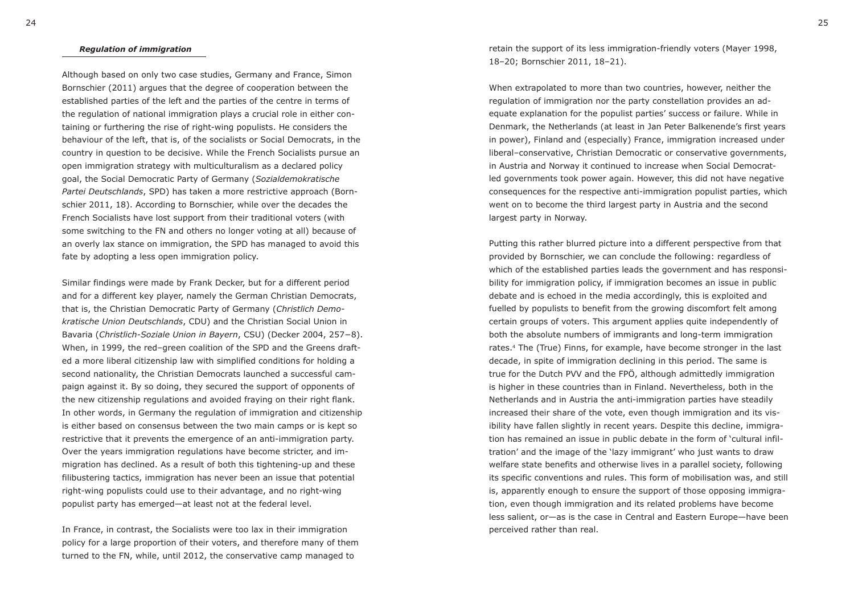#### *Regulation of immigration*

Although based on only two case studies, Germany and France, Simon Bornschier (2011) argues that the degree of cooperation between the established parties of the left and the parties of the centre in terms of the regulation of national immigration plays a crucial role in either containing or furthering the rise of right-wing populists. He considers the behaviour of the left, that is, of the socialists or Social Democrats, in the country in question to be decisive. While the French Socialists pursue an open immigration strategy with multiculturalism as a declared policy goal, the Social Democratic Party of Germany (*Sozialdemokratische Partei Deutschlands*, SPD) has taken a more restrictive approach (Bornschier 2011, 18). According to Bornschier, while over the decades the French Socialists have lost support from their traditional voters (with some switching to the FN and others no longer voting at all) because of an overly lax stance on immigration, the SPD has managed to avoid this fate by adopting a less open immigration policy.

Similar findings were made by Frank Decker, but for a different period and for a different key player, namely the German Christian Democrats, that is, the Christian Democratic Party of Germany (*Christlich Demokratische Union Deutschlands*, CDU) and the Christian Social Union in Bavaria (*Christlich-Soziale Union in Bayern*, CSU) (Decker 2004, 257−8). When, in 1999, the red–green coalition of the SPD and the Greens drafted a more liberal citizenship law with simplified conditions for holding a second nationality, the Christian Democrats launched a successful campaign against it. By so doing, they secured the support of opponents of the new citizenship regulations and avoided fraying on their right flank. In other words, in Germany the regulation of immigration and citizenship is either based on consensus between the two main camps or is kept so restrictive that it prevents the emergence of an anti-immigration party. Over the years immigration regulations have become stricter, and immigration has declined. As a result of both this tightening-up and these filibustering tactics, immigration has never been an issue that potential right-wing populists could use to their advantage, and no right-wing populist party has emerged—at least not at the federal level.

In France, in contrast, the Socialists were too lax in their immigration policy for a large proportion of their voters, and therefore many of them turned to the FN, while, until 2012, the conservative camp managed to

retain the support of its less immigration-friendly voters (Mayer 1998, 18–20; Bornschier 2011, 18–21).

When extrapolated to more than two countries, however, neither the regulation of immigration nor the party constellation provides an adequate explanation for the populist parties' success or failure. While in Denmark, the Netherlands (at least in Jan Peter Balkenende's first years in power), Finland and (especially) France, immigration increased under liberal–conservative, Christian Democratic or conservative governments, in Austria and Norway it continued to increase when Social Democratled governments took power again. However, this did not have negative consequences for the respective anti-immigration populist parties, which went on to become the third largest party in Austria and the second largest party in Norway.

Putting this rather blurred picture into a different perspective from that provided by Bornschier, we can conclude the following: regardless of which of the established parties leads the government and has responsibility for immigration policy, if immigration becomes an issue in public debate and is echoed in the media accordingly, this is exploited and fuelled by populists to benefit from the growing discomfort felt among certain groups of voters. This argument applies quite independently of both the absolute numbers of immigrants and long-term immigration rates.4 The (True) Finns, for example, have become stronger in the last decade, in spite of immigration declining in this period. The same is true for the Dutch PVV and the FPÖ, although admittedly immigration is higher in these countries than in Finland. Nevertheless, both in the Netherlands and in Austria the anti-immigration parties have steadily increased their share of the vote, even though immigration and its visibility have fallen slightly in recent years. Despite this decline, immigration has remained an issue in public debate in the form of 'cultural infiltration' and the image of the 'lazy immigrant' who just wants to draw welfare state benefits and otherwise lives in a parallel society, following its specific conventions and rules. This form of mobilisation was, and still is, apparently enough to ensure the support of those opposing immigration, even though immigration and its related problems have become less salient, or—as is the case in Central and Eastern Europe—have been perceived rather than real.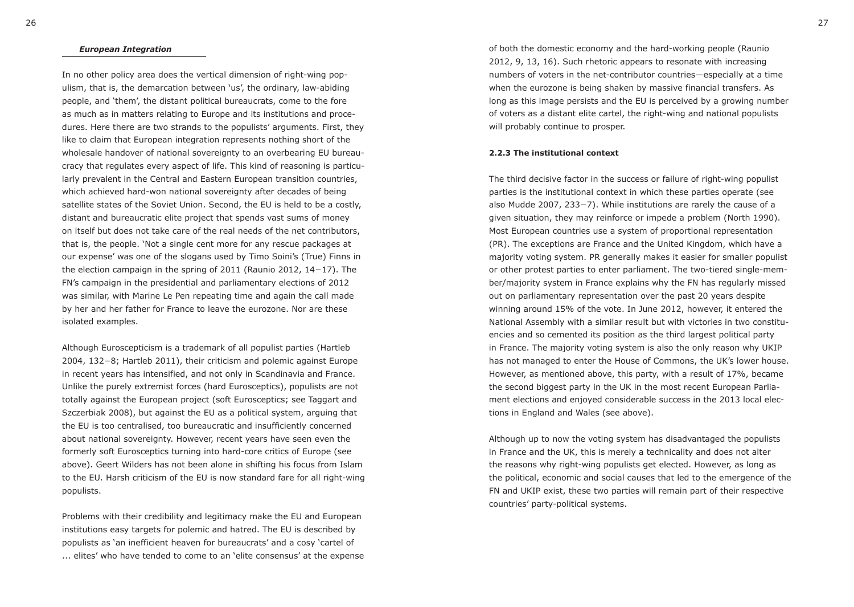#### *European Integration*

In no other policy area does the vertical dimension of right-wing populism, that is, the demarcation between 'us', the ordinary, law-abiding people, and 'them', the distant political bureaucrats, come to the fore as much as in matters relating to Europe and its institutions and procedures. Here there are two strands to the populists' arguments. First, they like to claim that European integration represents nothing short of the wholesale handover of national sovereignty to an overbearing EU bureaucracy that regulates every aspect of life. This kind of reasoning is particularly prevalent in the Central and Eastern European transition countries, which achieved hard-won national sovereignty after decades of being satellite states of the Soviet Union. Second, the EU is held to be a costly, distant and bureaucratic elite project that spends vast sums of money on itself but does not take care of the real needs of the net contributors, that is, the people. 'Not a single cent more for any rescue packages at our expense' was one of the slogans used by Timo Soini's (True) Finns in the election campaign in the spring of 2011 (Raunio 2012, 14−17). The FN's campaign in the presidential and parliamentary elections of 2012 was similar, with Marine Le Pen repeating time and again the call made by her and her father for France to leave the eurozone. Nor are these isolated examples.

Although Euroscepticism is a trademark of all populist parties (Hartleb 2004, 132−8; Hartleb 2011), their criticism and polemic against Europe in recent years has intensified, and not only in Scandinavia and France. Unlike the purely extremist forces (hard Eurosceptics), populists are not totally against the European project (soft Eurosceptics; see Taggart and Szczerbiak 2008), but against the EU as a political system, arguing that the EU is too centralised, too bureaucratic and insufficiently concerned about national sovereignty. However, recent years have seen even the formerly soft Eurosceptics turning into hard-core critics of Europe (see above). Geert Wilders has not been alone in shifting his focus from Islam to the EU. Harsh criticism of the EU is now standard fare for all right-wing populists.

Problems with their credibility and legitimacy make the EU and European institutions easy targets for polemic and hatred. The EU is described by populists as 'an inefficient heaven for bureaucrats' and a cosy 'cartel of ... elites' who have tended to come to an 'elite consensus' at the expense of both the domestic economy and the hard-working people (Raunio 2012, 9, 13, 16). Such rhetoric appears to resonate with increasing numbers of voters in the net-contributor countries—especially at a time when the eurozone is being shaken by massive financial transfers. As long as this image persists and the EU is perceived by a growing number of voters as a distant elite cartel, the right-wing and national populists will probably continue to prosper.

#### **2.2.3 The institutional context**

The third decisive factor in the success or failure of right-wing populist parties is the institutional context in which these parties operate (see also Mudde 2007, 233−7). While institutions are rarely the cause of a given situation, they may reinforce or impede a problem (North 1990). Most European countries use a system of proportional representation (PR). The exceptions are France and the United Kingdom, which have a majority voting system. PR generally makes it easier for smaller populist or other protest parties to enter parliament. The two-tiered single-member/majority system in France explains why the FN has regularly missed out on parliamentary representation over the past 20 years despite winning around 15% of the vote. In June 2012, however, it entered the National Assembly with a similar result but with victories in two constituencies and so cemented its position as the third largest political party in France. The majority voting system is also the only reason why UKIP has not managed to enter the House of Commons, the UK's lower house. However, as mentioned above, this party, with a result of 17%, became the second biggest party in the UK in the most recent European Parliament elections and enjoyed considerable success in the 2013 local elections in England and Wales (see above).

Although up to now the voting system has disadvantaged the populists in France and the UK, this is merely a technicality and does not alter the reasons why right-wing populists get elected. However, as long as the political, economic and social causes that led to the emergence of the FN and UKIP exist, these two parties will remain part of their respective countries' party-political systems.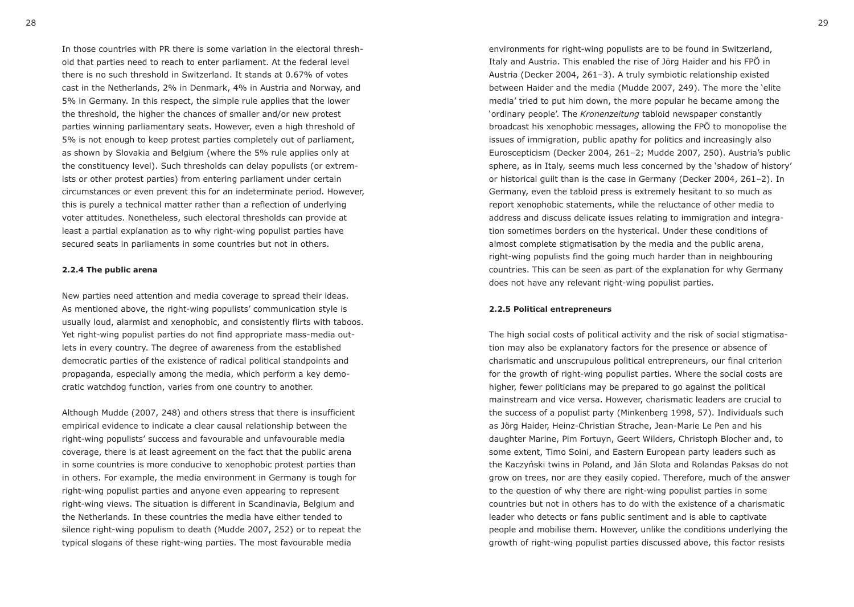In those countries with PR there is some variation in the electoral threshold that parties need to reach to enter parliament. At the federal level there is no such threshold in Switzerland. It stands at 0.67% of votes cast in the Netherlands, 2% in Denmark, 4% in Austria and Norway, and 5% in Germany. In this respect, the simple rule applies that the lower the threshold, the higher the chances of smaller and/or new protest parties winning parliamentary seats. However, even a high threshold of 5% is not enough to keep protest parties completely out of parliament, as shown by Slovakia and Belgium (where the 5% rule applies only at the constituency level). Such thresholds can delay populists (or extremists or other protest parties) from entering parliament under certain circumstances or even prevent this for an indeterminate period. However, this is purely a technical matter rather than a reflection of underlying voter attitudes. Nonetheless, such electoral thresholds can provide at least a partial explanation as to why right-wing populist parties have secured seats in parliaments in some countries but not in others.

#### **2.2.4 The public arena**

New parties need attention and media coverage to spread their ideas. As mentioned above, the right-wing populists' communication style is usually loud, alarmist and xenophobic, and consistently flirts with taboos. Yet right-wing populist parties do not find appropriate mass-media outlets in every country. The degree of awareness from the established democratic parties of the existence of radical political standpoints and propaganda, especially among the media, which perform a key democratic watchdog function, varies from one country to another.

Although Mudde (2007, 248) and others stress that there is insufficient empirical evidence to indicate a clear causal relationship between the right-wing populists' success and favourable and unfavourable media coverage, there is at least agreement on the fact that the public arena in some countries is more conducive to xenophobic protest parties than in others. For example, the media environment in Germany is tough for right-wing populist parties and anyone even appearing to represent right-wing views. The situation is different in Scandinavia, Belgium and the Netherlands. In these countries the media have either tended to silence right-wing populism to death (Mudde 2007, 252) or to repeat the typical slogans of these right-wing parties. The most favourable media

environments for right-wing populists are to be found in Switzerland, Italy and Austria. This enabled the rise of Jörg Haider and his FPÖ in Austria (Decker 2004, 261–3). A truly symbiotic relationship existed between Haider and the media (Mudde 2007, 249). The more the 'elite media' tried to put him down, the more popular he became among the 'ordinary people'. The *Kronenzeitung* tabloid newspaper constantly broadcast his xenophobic messages, allowing the FPÖ to monopolise the issues of immigration, public apathy for politics and increasingly also Euroscepticism (Decker 2004, 261–2; Mudde 2007, 250). Austria's public sphere, as in Italy, seems much less concerned by the 'shadow of history' or historical guilt than is the case in Germany (Decker 2004, 261–2). In Germany, even the tabloid press is extremely hesitant to so much as report xenophobic statements, while the reluctance of other media to address and discuss delicate issues relating to immigration and integration sometimes borders on the hysterical. Under these conditions of almost complete stigmatisation by the media and the public arena, right-wing populists find the going much harder than in neighbouring countries. This can be seen as part of the explanation for why Germany does not have any relevant right-wing populist parties.

#### **2.2.5 Political entrepreneurs**

The high social costs of political activity and the risk of social stigmatisation may also be explanatory factors for the presence or absence of charismatic and unscrupulous political entrepreneurs, our final criterion for the growth of right-wing populist parties. Where the social costs are higher, fewer politicians may be prepared to go against the political mainstream and vice versa. However, charismatic leaders are crucial to the success of a populist party (Minkenberg 1998, 57). Individuals such as Jörg Haider, Heinz-Christian Strache, Jean-Marie Le Pen and his daughter Marine, Pim Fortuyn, Geert Wilders, Christoph Blocher and, to some extent, Timo Soini, and Eastern European party leaders such as the Kaczyński twins in Poland, and Ján Slota and Rolandas Paksas do not grow on trees, nor are they easily copied. Therefore, much of the answer to the question of why there are right-wing populist parties in some countries but not in others has to do with the existence of a charismatic leader who detects or fans public sentiment and is able to captivate people and mobilise them. However, unlike the conditions underlying the growth of right-wing populist parties discussed above, this factor resists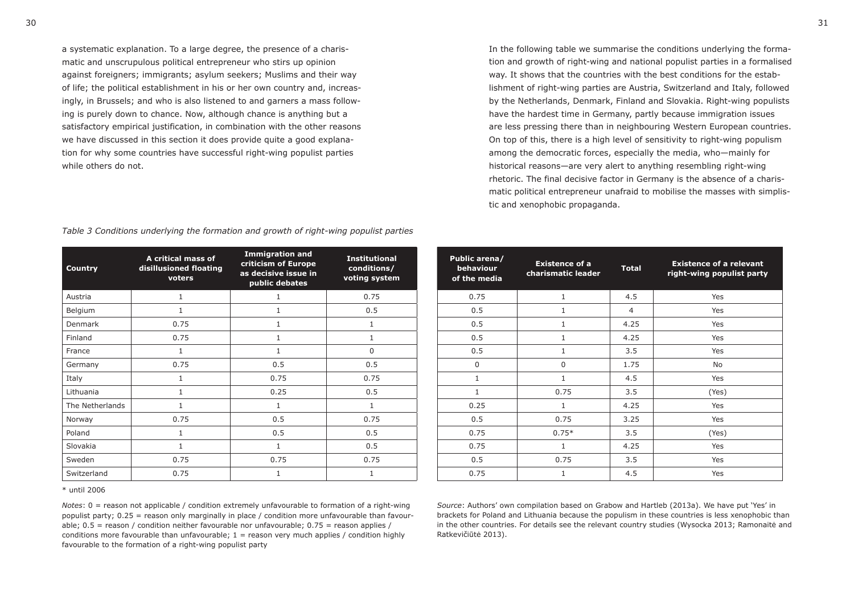a systematic explanation. To a large degree, the presence of a charismatic and unscrupulous political entrepreneur who stirs up opinion against foreigners; immigrants; asylum seekers; Muslims and their way of life; the political establishment in his or her own country and, increasingly, in Brussels; and who is also listened to and garners a mass following is purely down to chance. Now, although chance is anything but a satisfactory empirical justification, in combination with the other reasons we have discussed in this section it does provide quite a good explanation for why some countries have successful right-wing populist parties while others do not

In the following table we summarise the conditions underlying the formation and growth of right-wing and national populist parties in a formalised way. It shows that the countries with the best conditions for the establishment of right-wing parties are Austria, Switzerland and Italy, followed by the Netherlands, Denmark, Finland and Slovakia. Right-wing populists have the hardest time in Germany, partly because immigration issues are less pressing there than in neighbouring Western European countries. On top of this, there is a high level of sensitivity to right-wing populism among the democratic forces, especially the media, who—mainly for historical reasons—are very alert to anything resembling right-wing rhetoric. The final decisive factor in Germany is the absence of a charismatic political entrepreneur unafraid to mobilise the masses with simplistic and xenophobic propaganda.

| Public arena/<br>behaviour<br>of the media | <b>Existence of a</b><br>charismatic leader |      | <b>Existence of a relevant</b><br>right-wing populist party |  |  |  |
|--------------------------------------------|---------------------------------------------|------|-------------------------------------------------------------|--|--|--|
| 0.75                                       | $\mathbf{1}$                                | 4.5  | Yes                                                         |  |  |  |
| 0.5                                        | 1                                           | 4    | Yes                                                         |  |  |  |
| 0.5                                        | $\mathbf{1}$                                | 4.25 | Yes                                                         |  |  |  |
| 0.5                                        | $\mathbf{1}$                                | 4.25 | Yes                                                         |  |  |  |
| 0.5                                        | $\mathbf{1}$                                |      | Yes                                                         |  |  |  |
| 0<br>0                                     |                                             | 1.75 | No                                                          |  |  |  |
| $\mathbf{1}$                               | $\mathbf{1}$                                | 4.5  | Yes                                                         |  |  |  |
| $\mathbf{1}$                               | 0.75                                        |      | (Yes)                                                       |  |  |  |
| 0.25                                       | $\mathbf{1}$                                | 4.25 | Yes                                                         |  |  |  |
| 0.5                                        | 0.75                                        | 3.25 | Yes                                                         |  |  |  |
| 0.75                                       | $0.75*$                                     | 3.5  | (Yes)                                                       |  |  |  |
| 0.75                                       | $\mathbf{1}$                                | 4.25 | Yes                                                         |  |  |  |
| 0.5                                        | 0.75                                        | 3.5  | Yes                                                         |  |  |  |
| 0.75                                       | $\mathbf{1}$                                | 4.5  | Yes                                                         |  |  |  |

|  |  | Table 3 Conditions underlying the formation and growth of right-wing populist parties |  |  |  |  |  |  |  |  |  |
|--|--|---------------------------------------------------------------------------------------|--|--|--|--|--|--|--|--|--|
|--|--|---------------------------------------------------------------------------------------|--|--|--|--|--|--|--|--|--|

| <b>Country</b>  | A critical mass of<br>disillusioned floating<br>voters | <b>Immigration and</b><br>criticism of Europe<br>as decisive issue in<br>public debates | <b>Institutional</b><br>conditions/<br>voting system | Public arena/<br>behaviour<br>of the media | <b>Existence of a</b><br>charismatic leader | <b>Total</b>   |
|-----------------|--------------------------------------------------------|-----------------------------------------------------------------------------------------|------------------------------------------------------|--------------------------------------------|---------------------------------------------|----------------|
| Austria         |                                                        |                                                                                         | 0.75                                                 | 0.75                                       |                                             | 4.5            |
| Belgium         |                                                        |                                                                                         | 0.5                                                  | 0.5                                        |                                             | $\overline{4}$ |
| Denmark         | 0.75                                                   |                                                                                         | $\mathbf{1}$                                         | 0.5                                        |                                             | 4.25           |
| Finland         | 0.75                                                   | 1                                                                                       |                                                      | 0.5                                        |                                             | 4.25           |
| France          |                                                        |                                                                                         | $\Omega$                                             | 0.5                                        |                                             | 3.5            |
| Germany         | 0.75                                                   | 0.5                                                                                     | 0.5                                                  | $\mathbf 0$                                | $\mathbf 0$                                 | 1.75           |
| Italy           |                                                        | 0.75                                                                                    | 0.75                                                 |                                            |                                             | 4.5            |
| Lithuania       |                                                        | 0.25                                                                                    | 0.5                                                  |                                            | 0.75                                        | 3.5            |
| The Netherlands |                                                        | $\mathbf{1}$                                                                            | 1                                                    | 0.25                                       | $\mathbf{1}$                                | 4.25           |
| Norway          | 0.75                                                   | 0.5                                                                                     | 0.75                                                 | 0.5                                        | 0.75                                        | 3.25           |
| Poland          |                                                        | 0.5                                                                                     | 0.5                                                  | 0.75                                       | $0.75*$                                     | 3.5            |
| Slovakia        |                                                        | $\mathbf{1}$                                                                            | 0.5                                                  | 0.75                                       | 1                                           | 4.25           |
| Sweden          | 0.75                                                   | 0.75                                                                                    | 0.75                                                 | 0.5                                        | 0.75                                        | 3.5            |
| Switzerland     | 0.75                                                   |                                                                                         |                                                      | 0.75                                       |                                             | 4.5            |

\* until 2006

*Notes*: 0 = reason not applicable / condition extremely unfavourable to formation of a right-wing populist party;  $0.25$  = reason only marginally in place / condition more unfavourable than favourable;  $0.5$  = reason / condition neither favourable nor unfavourable;  $0.75$  = reason applies / conditions more favourable than unfavourable;  $1 =$  reason very much applies / condition highly favourable to the formation of a right-wing populist party

*Source*: Authors' own compilation based on Grabow and Hartleb (2013a). We have put 'Yes' in brackets for Poland and Lithuania because the populism in these countries is less xenophobic than in the other countries. For details see the relevant country studies (Wysocka 2013; Ramonaitė and Ratkevičiūtė 2013).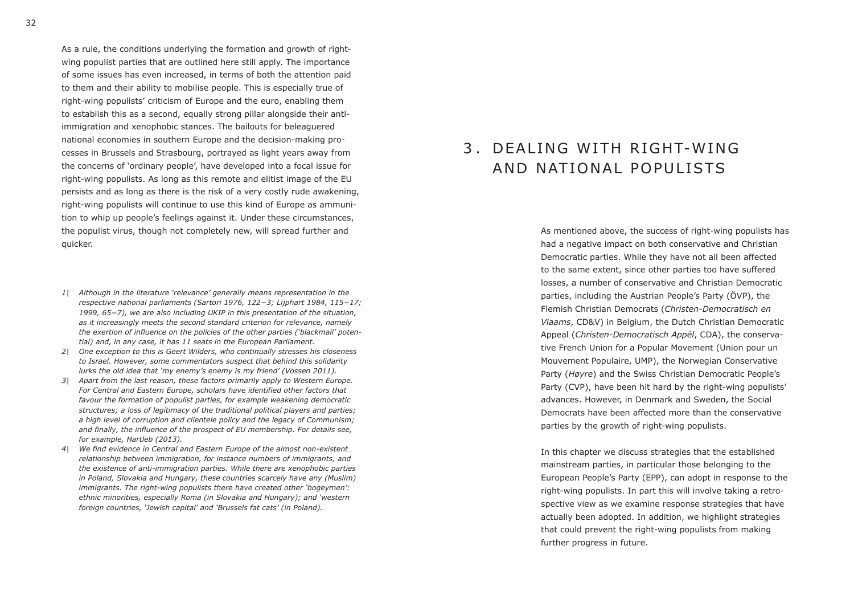As a rule, the conditions underlying the formation and growth of rightwing populist parties that are outlined here still apply. The importance of some issues has even increased, in terms of both the attention paid to them and their ability to mobilise people. This is especially true of right-wing populists' criticism of Europe and the euro, enabling them to establish this as a second, equally strong pillar alongside their antiimmigration and xenophobic stances. The bailouts for beleaguered national economies in southern Europe and the decision-making processes in Brussels and Strasbourg, portrayed as light years away from the concerns of 'ordinary people', have developed into a focal issue for right-wing populists. As long as this remote and elitist image of the EU persists and as long as there is the risk of a very costly rude awakening, right-wing populists will continue to use this kind of Europe as ammunition to whip up people's feelings against it. Under these circumstances, the populist virus, though not completely new, will spread further and quicker.

- *1| Although in the literature 'relevance' generally means representation in the respective national parliaments (Sartori 1976, 122−3; Lijphart 1984, 115−17; 1999, 65−7), we are also including UKIP in this presentation of the situation, as it increasingly meets the second standard criterion for relevance, namely the exertion of influence on the policies of the other parties ('blackmail' potential) and, in any case, it has 11 seats in the European Parliament.*
- *2| One exception to this is Geert Wilders, who continually stresses his closeness to Israel. However, some commentators suspect that behind this solidarity lurks the old idea that 'my enemy's enemy is my friend' (Vossen 2011).*
- *3| Apart from the last reason, these factors primarily apply to Western Europe. For Central and Eastern Europe, scholars have identified other factors that favour the formation of populist parties, for example weakening democratic structures; a loss of legitimacy of the traditional political players and parties; a high level of corruption and clientele policy and the legacy of Communism; and finally, the influence of the prospect of EU membership. For details see, for example, Hartleb (2013).*
- *4| We find evidence in Central and Eastern Europe of the almost non-existent relationship between immigration, for instance numbers of immigrants, and the existence of anti-immigration parties. While there are xenophobic parties in Poland, Slovakia and Hungary, these countries scarcely have any (Muslim) immigrants. The right-wing populists there have created other 'bogeymen': ethnic minorities, especially Roma (in Slovakia and Hungary); and 'western foreign countries, 'Jewish capital' and 'Brussels fat cats' (in Poland).*

## 3 DEALING WITH RIGHT-WING AND NATIONAL POPULISTS

As mentioned above, the success of right-wing populists has had a negative impact on both conservative and Christian Democratic parties. While they have not all been affected to the same extent, since other parties too have suffered losses, a number of conservative and Christian Democratic parties, including the Austrian People's Party (ÖVP), the Flemish Christian Democrats (*Christen-Democratisch en Vlaams*, CD&V) in Belgium, the Dutch Christian Democratic Appeal (*Christen-Democratisch Appèl*, CDA), the conservative French Union for a Popular Movement (Union pour un Mouvement Populaire, UMP), the Norwegian Conservative Party (*Høyre*) and the Swiss Christian Democratic People's Party (CVP), have been hit hard by the right-wing populists' advances. However, in Denmark and Sweden, the Social Democrats have been affected more than the conservative parties by the growth of right-wing populists.

In this chapter we discuss strategies that the established mainstream parties, in particular those belonging to the European People's Party (EPP), can adopt in response to the right-wing populists. In part this will involve taking a retrospective view as we examine response strategies that have actually been adopted. In addition, we highlight strategies that could prevent the right-wing populists from making further progress in future.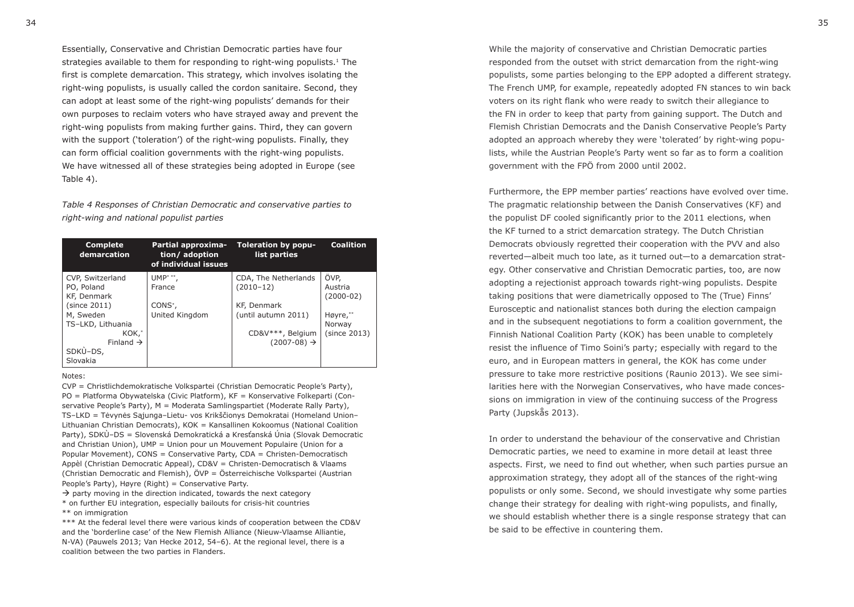Essentially, Conservative and Christian Democratic parties have four strategies available to them for responding to right-wing populists.<sup>1</sup> The first is complete demarcation. This strategy, which involves isolating the right-wing populists, is usually called the cordon sanitaire. Second, they can adopt at least some of the right-wing populists' demands for their own purposes to reclaim voters who have strayed away and prevent the right-wing populists from making further gains. Third, they can govern with the support ('toleration') of the right-wing populists. Finally, they can form official coalition governments with the right-wing populists. We have witnessed all of these strategies being adopted in Europe (see Table 4).

*Table 4 Responses of Christian Democratic and conservative parties to right-wing and national populist parties*

| <b>Complete</b><br>demarcation | Partial approxima-<br>tion/adoption<br>of individual issues | Toleration by popu-<br>list parties | <b>Coalition</b> |
|--------------------------------|-------------------------------------------------------------|-------------------------------------|------------------|
| CVP, Switzerland               | UMP* **.                                                    | CDA, The Netherlands                | ÖVP,             |
| PO, Poland                     | France                                                      | $(2010-12)$                         | Austria          |
| KF, Denmark                    |                                                             |                                     | $(2000-02)$      |
| (since 2011)                   | $CONS^*$ ,                                                  | KF, Denmark                         |                  |
| M, Sweden                      | United Kingdom                                              | (until autumn 2011)                 | Høyre,**         |
| TS-LKD, Lithuania              |                                                             |                                     | Norway           |
| KOK.*                          |                                                             | CD&V***, Belgium                    | (since 2013)     |
| Finland $\rightarrow$          |                                                             | $(2007-08) \rightarrow$             |                  |
| SDKÙ-DS,                       |                                                             |                                     |                  |
| Slovakia                       |                                                             |                                     |                  |

#### Notes:

CVP = Christlichdemokratische Volkspartei (Christian Democratic People's Party), PO = Platforma Obywatelska (Civic Platform), KF = Konservative Folkeparti (Conservative People's Party), M = Moderata Samlingspartiet (Moderate Rally Party), TS–LKD = Tėvynės Sąjunga–Lietu- vos Krikščionys Demokratai (Homeland Union– Lithuanian Christian Democrats), KOK = Kansallinen Kokoomus (National Coalition Party), SDKÙ–DS = Slovenská Demokratická a Kresťanská Únia (Slovak Democratic and Christian Union), UMP = Union pour un Mouvement Populaire (Union for a Popular Movement), CONS = Conservative Party, CDA = Christen-Democratisch Appèl (Christian Democratic Appeal), CD&V = Christen-Democratisch & Vlaams (Christian Democratic and Flemish), ÖVP = Österreichische Volkspartei (Austrian People's Party), Høyre (Right) = Conservative Party.

 $\rightarrow$  party moving in the direction indicated, towards the next category \* on further EU integration, especially bailouts for crisis-hit countries \*\* on immigration

\*\*\* At the federal level there were various kinds of cooperation between the CD&V and the 'borderline case' of the New Flemish Alliance (Nieuw-Vlaamse Alliantie, N-VA) (Pauwels 2013; Van Hecke 2012, 54–6). At the regional level, there is a coalition between the two parties in Flanders.

While the majority of conservative and Christian Democratic parties responded from the outset with strict demarcation from the right-wing populists, some parties belonging to the EPP adopted a different strategy. The French UMP, for example, repeatedly adopted FN stances to win back voters on its right flank who were ready to switch their allegiance to the FN in order to keep that party from gaining support. The Dutch and Flemish Christian Democrats and the Danish Conservative People's Party adopted an approach whereby they were 'tolerated' by right-wing populists, while the Austrian People's Party went so far as to form a coalition government with the FPÖ from 2000 until 2002.

Furthermore, the EPP member parties' reactions have evolved over time. The pragmatic relationship between the Danish Conservatives (KF) and the populist DF cooled significantly prior to the 2011 elections, when the KF turned to a strict demarcation strategy. The Dutch Christian Democrats obviously regretted their cooperation with the PVV and also reverted—albeit much too late, as it turned out—to a demarcation strategy. Other conservative and Christian Democratic parties, too, are now adopting a rejectionist approach towards right-wing populists. Despite taking positions that were diametrically opposed to The (True) Finns' Eurosceptic and nationalist stances both during the election campaign and in the subsequent negotiations to form a coalition government, the Finnish National Coalition Party (KOK) has been unable to completely resist the influence of Timo Soini's party; especially with regard to the euro, and in European matters in general, the KOK has come under pressure to take more restrictive positions (Raunio 2013). We see similarities here with the Norwegian Conservatives, who have made concessions on immigration in view of the continuing success of the Progress Party (Jupskås 2013).

In order to understand the behaviour of the conservative and Christian Democratic parties, we need to examine in more detail at least three aspects. First, we need to find out whether, when such parties pursue an approximation strategy, they adopt all of the stances of the right-wing populists or only some. Second, we should investigate why some parties change their strategy for dealing with right-wing populists, and finally, we should establish whether there is a single response strategy that can be said to be effective in countering them.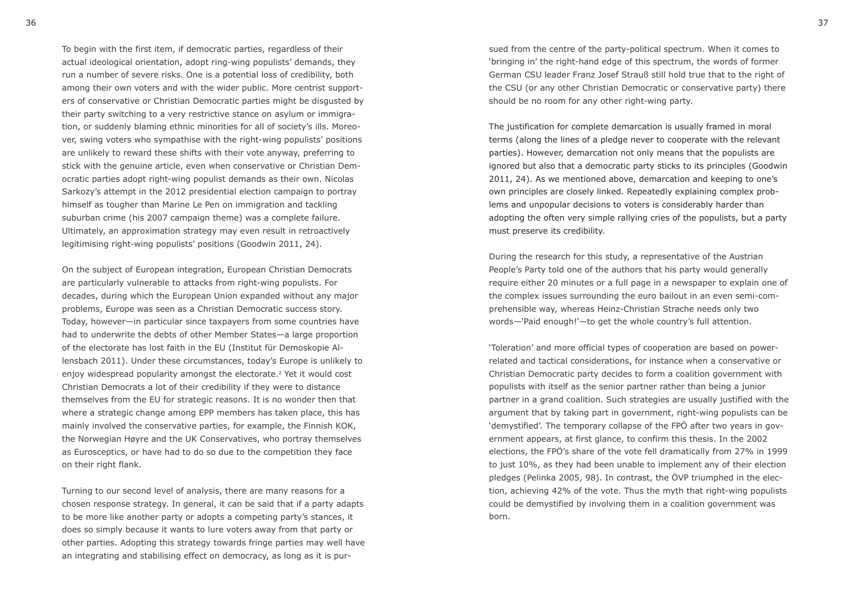To begin with the first item, if democratic parties, regardless of their actual ideological orientation, adopt ring-wing populists' demands, they run a number of severe risks. One is a potential loss of credibility, both among their own voters and with the wider public. More centrist supporters of conservative or Christian Democratic parties might be disgusted by their party switching to a very restrictive stance on asylum or immigration, or suddenly blaming ethnic minorities for all of society's ills. Moreover, swing voters who sympathise with the right-wing populists' positions are unlikely to reward these shifts with their vote anyway, preferring to stick with the genuine article, even when conservative or Christian Democratic parties adopt right-wing populist demands as their own. Nicolas Sarkozy's attempt in the 2012 presidential election campaign to portray himself as tougher than Marine Le Pen on immigration and tackling suburban crime (his 2007 campaign theme) was a complete failure. Ultimately, an approximation strategy may even result in retroactively legitimising right-wing populists' positions (Goodwin 2011, 24).

On the subject of European integration, European Christian Democrats are particularly vulnerable to attacks from right-wing populists. For decades, during which the European Union expanded without any major problems, Europe was seen as a Christian Democratic success story. Today, however—in particular since taxpayers from some countries have had to underwrite the debts of other Member States—a large proportion of the electorate has lost faith in the EU (Institut für Demoskopie Allensbach 2011). Under these circumstances, today's Europe is unlikely to enjoy widespread popularity amongst the electorate.2 Yet it would cost Christian Democrats a lot of their credibility if they were to distance themselves from the EU for strategic reasons. It is no wonder then that where a strategic change among EPP members has taken place, this has mainly involved the conservative parties, for example, the Finnish KOK, the Norwegian Høyre and the UK Conservatives, who portray themselves as Eurosceptics, or have had to do so due to the competition they face on their right flank.

Turning to our second level of analysis, there are many reasons for a chosen response strategy. In general, it can be said that if a party adapts to be more like another party or adopts a competing party's stances, it does so simply because it wants to lure voters away from that party or other parties. Adopting this strategy towards fringe parties may well have an integrating and stabilising effect on democracy, as long as it is pur-

sued from the centre of the party-political spectrum. When it comes to 'bringing in' the right-hand edge of this spectrum, the words of former German CSU leader Franz Josef Strauß still hold true that to the right of the CSU (or any other Christian Democratic or conservative party) there should be no room for any other right-wing party.

The justification for complete demarcation is usually framed in moral terms (along the lines of a pledge never to cooperate with the relevant parties). However, demarcation not only means that the populists are ignored but also that a democratic party sticks to its principles (Goodwin 2011, 24). As we mentioned above, demarcation and keeping to one's own principles are closely linked. Repeatedly explaining complex problems and unpopular decisions to voters is considerably harder than adopting the often very simple rallying cries of the populists, but a party must preserve its credibility.

During the research for this study, a representative of the Austrian People's Party told one of the authors that his party would generally require either 20 minutes or a full page in a newspaper to explain one of the complex issues surrounding the euro bailout in an even semi-comprehensible way, whereas Heinz-Christian Strache needs only two words—'Paid enough!'—to get the whole country's full attention.

'Toleration' and more official types of cooperation are based on powerrelated and tactical considerations, for instance when a conservative or Christian Democratic party decides to form a coalition government with populists with itself as the senior partner rather than being a junior partner in a grand coalition. Such strategies are usually justified with the argument that by taking part in government, right-wing populists can be 'demystified'. The temporary collapse of the FPÖ after two years in government appears, at first glance, to confirm this thesis. In the 2002 elections, the FPÖ's share of the vote fell dramatically from 27% in 1999 to just 10%, as they had been unable to implement any of their election pledges (Pelinka 2005, 98). In contrast, the ÖVP triumphed in the election, achieving 42% of the vote. Thus the myth that right-wing populists could be demystified by involving them in a coalition government was born.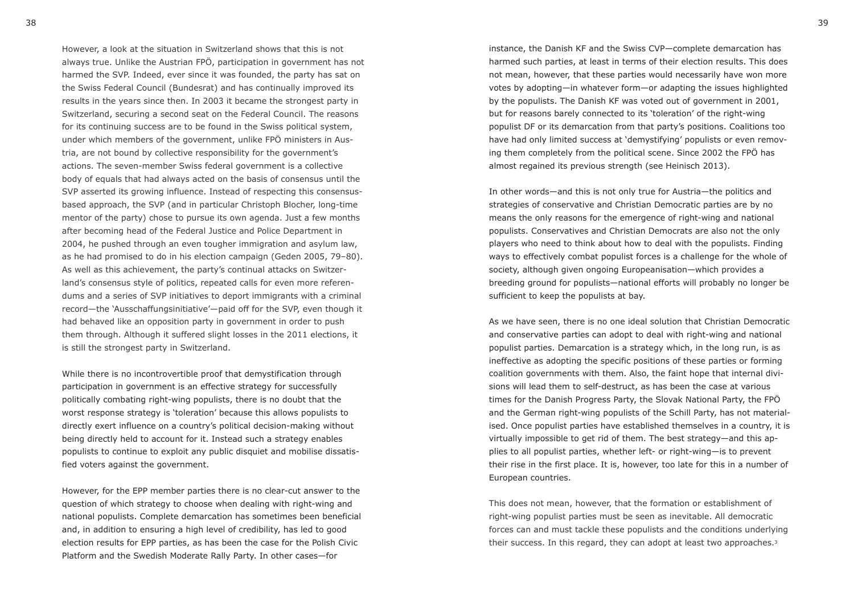However, a look at the situation in Switzerland shows that this is not always true. Unlike the Austrian FPÖ, participation in government has not harmed the SVP. Indeed, ever since it was founded, the party has sat on the Swiss Federal Council (Bundesrat) and has continually improved its results in the years since then. In 2003 it became the strongest party in Switzerland, securing a second seat on the Federal Council. The reasons for its continuing success are to be found in the Swiss political system, under which members of the government, unlike FPÖ ministers in Austria, are not bound by collective responsibility for the government's actions. The seven-member Swiss federal government is a collective body of equals that had always acted on the basis of consensus until the SVP asserted its growing influence. Instead of respecting this consensusbased approach, the SVP (and in particular Christoph Blocher, long-time mentor of the party) chose to pursue its own agenda. Just a few months after becoming head of the Federal Justice and Police Department in 2004, he pushed through an even tougher immigration and asylum law, as he had promised to do in his election campaign (Geden 2005, 79–80). As well as this achievement, the party's continual attacks on Switzerland's consensus style of politics, repeated calls for even more referendums and a series of SVP initiatives to deport immigrants with a criminal record—the 'Ausschaffungsinitiative'—paid off for the SVP, even though it had behaved like an opposition party in government in order to push them through. Although it suffered slight losses in the 2011 elections, it is still the strongest party in Switzerland.

While there is no incontrovertible proof that demystification through participation in government is an effective strategy for successfully politically combating right-wing populists, there is no doubt that the worst response strategy is 'toleration' because this allows populists to directly exert influence on a country's political decision-making without being directly held to account for it. Instead such a strategy enables populists to continue to exploit any public disquiet and mobilise dissatisfied voters against the government.

However, for the EPP member parties there is no clear-cut answer to the question of which strategy to choose when dealing with right-wing and national populists. Complete demarcation has sometimes been beneficial and, in addition to ensuring a high level of credibility, has led to good election results for EPP parties, as has been the case for the Polish Civic Platform and the Swedish Moderate Rally Party. In other cases—for

instance, the Danish KF and the Swiss CVP—complete demarcation has harmed such parties, at least in terms of their election results. This does not mean, however, that these parties would necessarily have won more votes by adopting—in whatever form—or adapting the issues highlighted by the populists. The Danish KF was voted out of government in 2001, but for reasons barely connected to its 'toleration' of the right-wing populist DF or its demarcation from that party's positions. Coalitions too have had only limited success at 'demystifying' populists or even removing them completely from the political scene. Since 2002 the FPÖ has almost regained its previous strength (see Heinisch 2013).

In other words—and this is not only true for Austria—the politics and strategies of conservative and Christian Democratic parties are by no means the only reasons for the emergence of right-wing and national populists. Conservatives and Christian Democrats are also not the only players who need to think about how to deal with the populists. Finding ways to effectively combat populist forces is a challenge for the whole of society, although given ongoing Europeanisation—which provides a breeding ground for populists—national efforts will probably no longer be sufficient to keep the populists at bay.

As we have seen, there is no one ideal solution that Christian Democratic and conservative parties can adopt to deal with right-wing and national populist parties. Demarcation is a strategy which, in the long run, is as ineffective as adopting the specific positions of these parties or forming coalition governments with them. Also, the faint hope that internal divisions will lead them to self-destruct, as has been the case at various times for the Danish Progress Party, the Slovak National Party, the FPÖ and the German right-wing populists of the Schill Party, has not materialised. Once populist parties have established themselves in a country, it is virtually impossible to get rid of them. The best strategy—and this applies to all populist parties, whether left- or right-wing—is to prevent their rise in the first place. It is, however, too late for this in a number of European countries.

This does not mean, however, that the formation or establishment of right-wing populist parties must be seen as inevitable. All democratic forces can and must tackle these populists and the conditions underlying their success. In this regard, they can adopt at least two approaches.<sup>3</sup>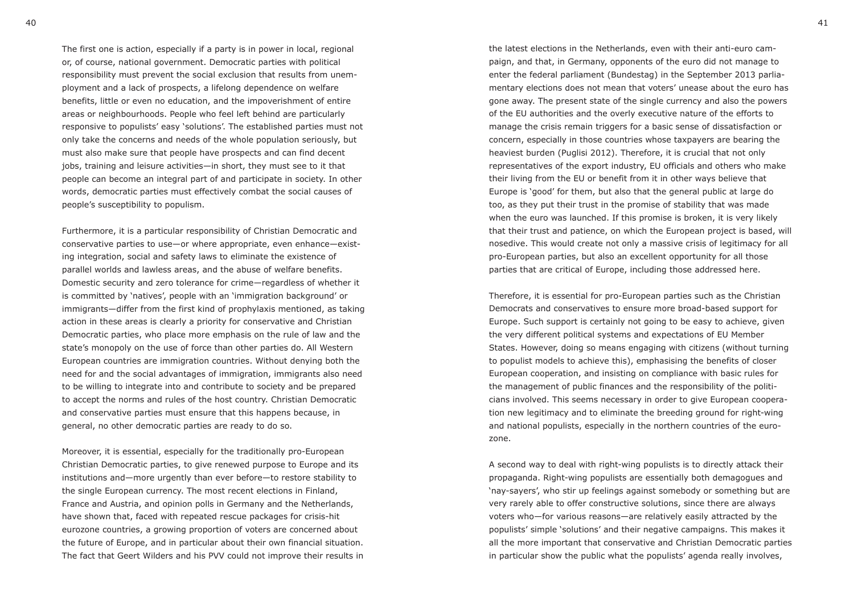The first one is action, especially if a party is in power in local, regional or, of course, national government. Democratic parties with political responsibility must prevent the social exclusion that results from unemployment and a lack of prospects, a lifelong dependence on welfare benefits, little or even no education, and the impoverishment of entire areas or neighbourhoods. People who feel left behind are particularly responsive to populists' easy 'solutions'. The established parties must not only take the concerns and needs of the whole population seriously, but must also make sure that people have prospects and can find decent jobs, training and leisure activities—in short, they must see to it that people can become an integral part of and participate in society. In other words, democratic parties must effectively combat the social causes of people's susceptibility to populism.

Furthermore, it is a particular responsibility of Christian Democratic and conservative parties to use—or where appropriate, even enhance—existing integration, social and safety laws to eliminate the existence of parallel worlds and lawless areas, and the abuse of welfare benefits. Domestic security and zero tolerance for crime—regardless of whether it is committed by 'natives', people with an 'immigration background' or immigrants—differ from the first kind of prophylaxis mentioned, as taking action in these areas is clearly a priority for conservative and Christian Democratic parties, who place more emphasis on the rule of law and the state's monopoly on the use of force than other parties do. All Western European countries are immigration countries. Without denying both the need for and the social advantages of immigration, immigrants also need to be willing to integrate into and contribute to society and be prepared to accept the norms and rules of the host country. Christian Democratic and conservative parties must ensure that this happens because, in general, no other democratic parties are ready to do so.

Moreover, it is essential, especially for the traditionally pro-European Christian Democratic parties, to give renewed purpose to Europe and its institutions and—more urgently than ever before—to restore stability to the single European currency. The most recent elections in Finland, France and Austria, and opinion polls in Germany and the Netherlands, have shown that, faced with repeated rescue packages for crisis-hit eurozone countries, a growing proportion of voters are concerned about the future of Europe, and in particular about their own financial situation. The fact that Geert Wilders and his PVV could not improve their results in

the latest elections in the Netherlands, even with their anti-euro campaign, and that, in Germany, opponents of the euro did not manage to enter the federal parliament (Bundestag) in the September 2013 parliamentary elections does not mean that voters' unease about the euro has gone away. The present state of the single currency and also the powers of the EU authorities and the overly executive nature of the efforts to manage the crisis remain triggers for a basic sense of dissatisfaction or concern, especially in those countries whose taxpayers are bearing the heaviest burden (Puglisi 2012). Therefore, it is crucial that not only representatives of the export industry, EU officials and others who make their living from the EU or benefit from it in other ways believe that Europe is 'good' for them, but also that the general public at large do too, as they put their trust in the promise of stability that was made when the euro was launched. If this promise is broken, it is very likely that their trust and patience, on which the European project is based, will nosedive. This would create not only a massive crisis of legitimacy for all pro-European parties, but also an excellent opportunity for all those parties that are critical of Europe, including those addressed here.

Therefore, it is essential for pro-European parties such as the Christian Democrats and conservatives to ensure more broad-based support for Europe. Such support is certainly not going to be easy to achieve, given the very different political systems and expectations of EU Member States. However, doing so means engaging with citizens (without turning to populist models to achieve this), emphasising the benefits of closer European cooperation, and insisting on compliance with basic rules for the management of public finances and the responsibility of the politicians involved. This seems necessary in order to give European cooperation new legitimacy and to eliminate the breeding ground for right-wing and national populists, especially in the northern countries of the eurozone.

A second way to deal with right-wing populists is to directly attack their propaganda. Right-wing populists are essentially both demagogues and 'nay-sayers', who stir up feelings against somebody or something but are very rarely able to offer constructive solutions, since there are always voters who—for various reasons—are relatively easily attracted by the populists' simple 'solutions' and their negative campaigns. This makes it all the more important that conservative and Christian Democratic parties in particular show the public what the populists' agenda really involves,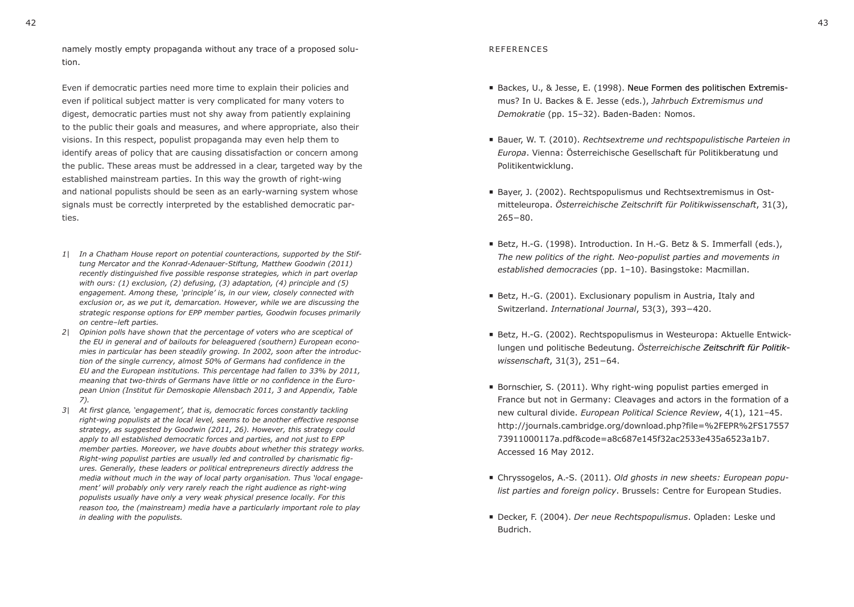Even if democratic parties need more time to explain their policies and even if political subject matter is very complicated for many voters to digest, democratic parties must not shy away from patiently explaining to the public their goals and measures, and where appropriate, also their visions. In this respect, populist propaganda may even help them to identify areas of policy that are causing dissatisfaction or concern among the public. These areas must be addressed in a clear, targeted way by the established mainstream parties. In this way the growth of right-wing and national populists should be seen as an early-warning system whose signals must be correctly interpreted by the established democratic parties.

- *1| In a Chatham House report on potential counteractions, supported by the Stiftung Mercator and the Konrad-Adenauer-Stiftung, Matthew Goodwin (2011) recently distinguished five possible response strategies, which in part overlap with ours: (1) exclusion, (2) defusing, (3) adaptation, (4) principle and (5) engagement. Among these, 'principle' is, in our view, closely connected with exclusion or, as we put it, demarcation. However, while we are discussing the strategic response options for EPP member parties, Goodwin focuses primarily on centre–left parties.*
- *2| Opinion polls have shown that the percentage of voters who are sceptical of the EU in general and of bailouts for beleaguered (southern) European economies in particular has been steadily growing. In 2002, soon after the introduction of the single currency, almost 50% of Germans had confidence in the EU and the European institutions. This percentage had fallen to 33% by 2011, meaning that two-thirds of Germans have little or no confidence in the European Union (Institut für Demoskopie Allensbach 2011, 3 and Appendix, Table 7).*
- *3| At first glance' 'engagement', that is, democratic forces constantly tackling right-wing populists at the local level, seems to be another effective response strategy, as suggested by Goodwin (2011, 26). However, this strategy could apply to all established democratic forces and parties, and not just to EPP member parties. Moreover, we have doubts about whether this strategy works. Right-wing populist parties are usually led and controlled by charismatic figures. Generally, these leaders or political entrepreneurs directly address the media without much in the way of local party organisation. Thus 'local engagement' will probably only very rarely reach the right audience as right-wing populists usually have only a very weak physical presence locally. For this reason too, the (mainstream) media have a particularly important role to play in dealing with the populists.*

#### REFERENCES

- Backes, U., & Jesse, E. (1998). Neue Formen des politischen Extremismus? In U. Backes & E. Jesse (eds.), *Jahrbuch Extremismus und Demokratie* (pp. 15–32). Baden-Baden: Nomos.
- Bauer, W. T. (2010). *Rechtsextreme und rechtspopulistische Parteien in Europa*. Vienna: Österreichische Gesellschaft für Politikberatung und Politikentwicklung.
- Bayer, J. (2002). Rechtspopulismus und Rechtsextremismus in Ostmitteleuropa. *Österreichische Zeitschrift für Politikwissenschaft*, 31(3), 265−80.
- Betz, H.-G. (1998). Introduction. In H.-G. Betz & S. Immerfall (eds.), *The new politics of the right. Neo-populist parties and movements in established democracies* (pp. 1–10). Basingstoke: Macmillan.
- Betz, H.-G. (2001). Exclusionary populism in Austria, Italy and Switzerland. *International Journal*, 53(3), 393−420.
- Betz, H.-G. (2002). Rechtspopulismus in Westeuropa: Aktuelle Entwicklungen und politische Bedeutung. *Österreichische Zeitschrift für Politik Politikwissenschaft*, 31(3), 251−64.
- Bornschier, S. (2011). Why right-wing populist parties emerged in France but not in Germany: Cleavages and actors in the formation of a new cultural divide. *European Political Science Review*, 4(1), 121–45. http://journals.cambridge.org/download.php?file=%2FEPR%2FS17557 73911000117a.pdf&code=a8c687e145f32ac2533e435a6523a1b7. Accessed 16 May 2012.
- Chryssogelos, A.-S. (2011). *Old ghosts in new sheets: European populist parties and foreign policy*. Brussels: Centre for European Studies.
- Decker, F. (2004). *Der neue Rechtspopulismus*. Opladen: Leske und Budrich.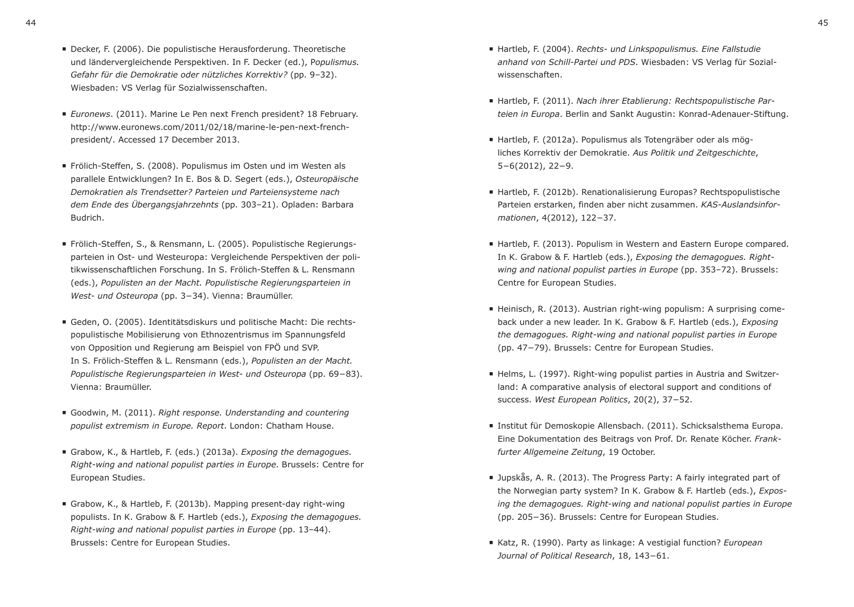- *Euronews*. (2011). Marine Le Pen next French president? 18 February. http://www.euronews.com/2011/02/18/marine-le-pen-next-frenchpresident/. Accessed 17 December 2013.
- Frölich-Steffen, S. (2008). Populismus im Osten und im Westen als parallele Entwicklungen? In E. Bos & D. Segert (eds.), *Osteuropäische Demokratien als Trendsetter? Parteien und Parteiensysteme nach dem Ende des Übergangsjahrzehnts* (pp. 303–21). Opladen: Barbara Budrich.
- Frölich-Steffen, S., & Rensmann, L. (2005). Populistische Regierungsparteien in Ost- und Westeuropa: Vergleichende Perspektiven der politikwissenschaftlichen Forschung. In S. Frölich-Steffen & L. Rensmann (eds.), *Populisten an der Macht. Populistische Regierungsparteien in West- und Osteuropa* (pp. 3−34). Vienna: Braumüller.
- Geden, O. (2005). Identitätsdiskurs und politische Macht: Die rechtspopulistische Mobilisierung von Ethnozentrismus im Spannungsfeld von Opposition und Regierung am Beispiel von FPÖ und SVP. In S. Frölich-Steffen & L. Rensmann (eds.), *Populisten an der Macht. Populistische Regierungsparteien in West- und Osteuropa* (pp. 69−83). Vienna: Braumüller.
- Goodwin, M. (2011). *Right response. Understanding and countering populist extremism in Europe. Report*. London: Chatham House.
- Grabow, K., & Hartleb, F. (eds.) (2013a). *Exposing the demagogues. Right-wing and national populist parties in Europe*. Brussels: Centre for European Studies.
- Grabow, K., & Hartleb, F. (2013b). Mapping present-day right-wing populists. In K. Grabow & F. Hartleb (eds.), *Exposing the demagogues. Right-wing and national populist parties in Europe* (pp. 13–44). Brussels: Centre for European Studies.
- Hartleb, F. (2004). *Rechts- und Linkspopulismus. Eine Fallstudie anhand von Schill-Partei und PDS*. Wiesbaden: VS Verlag für Sozialwissenschaften.
- Hartleb, F. (2011). *Nach ihrer Etablierung: Rechtspopulistische Parteien in Europa*. Berlin and Sankt Augustin: Konrad-Adenauer-Stiftung.
- Hartleb, F. (2012a). Populismus als Totengräber oder als mögliches Korrektiv der Demokratie. *Aus Politik und Zeitgeschichte*, 5−6(2012), 22−9.
- Hartleb, F. (2012b). Renationalisierung Europas? Rechtspopulistische Parteien erstarken, finden aber nicht zusammen. *KAS-Auslandsinformationen*, 4(2012), 122−37.
- Hartleb, F. (2013). Populism in Western and Eastern Europe compared. In K. Grabow & F. Hartleb (eds.), *Exposing the demagogues. Rightwing and national populist parties in Europe* (pp. 353–72). Brussels: Centre for European Studies.
- $\blacksquare$  Heinisch, R. (2013). Austrian right-wing populism: A surprising comeback under a new leader. In K. Grabow & F. Hartleb (eds.), *Exposing the demagogues. Right-wing and national populist parties in Europe* (pp. 47−79). Brussels: Centre for European Studies.
- Helms, L. (1997). Right-wing populist parties in Austria and Switzerland: A comparative analysis of electoral support and conditions of success. *West European Politics*, 20(2), 37−52.
- Institut für Demoskopie Allensbach. (2011). Schicksalsthema Europa. Eine Dokumentation des Beitrags von Prof. Dr. Renate Köcher. *Frankfurter Allgemeine Zeitung*, 19 October.
- Jupskås, A. R. (2013). The Progress Party: A fairly integrated part of the Norwegian party system? In K. Grabow & F. Hartleb (eds.), *Exposing the demagogues. Right-wing and national populist parties in Europe* (pp. 205−36). Brussels: Centre for European Studies.
- Katz, R. (1990). Party as linkage: A vestigial function? *European Journal of Political Research*, 18, 143−61.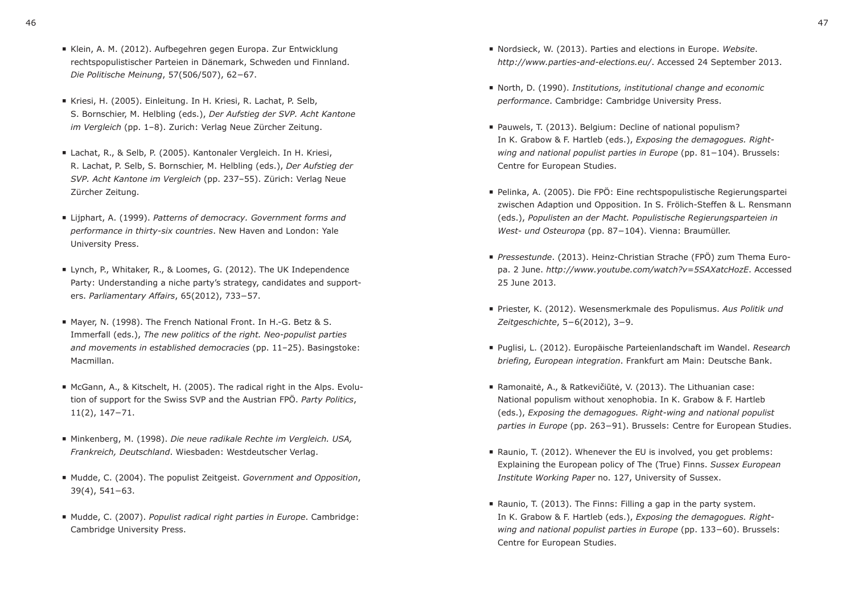- Kriesi, H. (2005). Einleitung. In H. Kriesi, R. Lachat, P. Selb, S. Bornschier, M. Helbling (eds.), *Der Aufstieg der SVP. Acht Kantone im Vergleich* (pp. 1–8). Zurich: Verlag Neue Zürcher Zeitung.
- Lachat, R., & Selb, P. (2005). Kantonaler Vergleich. In H. Kriesi, R. Lachat, P. Selb, S. Bornschier, M. Helbling (eds.), *Der Aufstieg der SVP. Acht Kantone im Vergleich* (pp. 237–55). Zürich: Verlag Neue Zürcher Zeitung.
- Lijphart, A. (1999). *Patterns of democracy. Government forms and performance in thirty-six countries*. New Haven and London: Yale University Press.
- Lynch, P., Whitaker, R., & Loomes, G. (2012). The UK Independence Party: Understanding a niche party's strategy, candidates and supporters. *Parliamentary Affairs*, 65(2012), 733−57.
- Mayer, N. (1998). The French National Front. In H.-G. Betz & S. Immerfall (eds.), *The new politics of the right. Neo-populist parties and movements in established democracies* (pp. 11–25). Basingstoke: Macmillan.
- McGann, A., & Kitschelt, H. (2005). The radical right in the Alps. Evolution of support for the Swiss SVP and the Austrian FPÖ. *Party Politics*, 11(2), 147−71.
- Minkenberg, M. (1998). *Die neue radikale Rechte im Vergleich. USA, Frankreich, Deutschland*. Wiesbaden: Westdeutscher Verlag.
- Mudde, C. (2004). The populist Zeitgeist. *Government and Opposition*, 39(4), 541−63.
- Mudde, C. (2007). *Populist radical right parties in Europe*. Cambridge: Cambridge University Press.
- Nordsieck, W. (2013). Parties and elections in Europe. *Website*. *http://www.parties-and-elections.eu/*. Accessed 24 September 2013.
- North, D. (1990). *Institutions, institutional change and economic performance*. Cambridge: Cambridge University Press.
- Pauwels, T. (2013). Belgium: Decline of national populism? In K. Grabow & F. Hartleb (eds.), *Exposing the demagogues. Rightwing and national populist parties in Europe* (pp. 81−104). Brussels: Centre for European Studies.
- Pelinka, A. (2005). Die FPÖ: Eine rechtspopulistische Regierungspartei zwischen Adaption und Opposition. In S. Frölich-Steffen & L. Rensmann (eds.), *Populisten an der Macht. Populistische Regierungsparteien in West- und Osteuropa* (pp. 87−104). Vienna: Braumüller.
- *Pressestunde*. (2013). Heinz-Christian Strache (FPÖ) zum Thema Europa. 2 June. *http://www.youtube.com/watch?v=5SAXatcHozE*. Accessed 25 June 2013.
- Priester, K. (2012). Wesensmerkmale des Populismus. *Aus Politik und Zeitgeschichte*, 5−6(2012), 3−9.
- Puglisi, L. (2012). Europäische Parteienlandschaft im Wandel. *Research briefing, European integration*. Frankfurt am Main: Deutsche Bank.
- Ramonaitė, A., & Ratkevičiūtė, V. (2013). The Lithuanian case: National populism without xenophobia. In K. Grabow & F. Hartleb (eds.), *Exposing the demagogues. Right-wing and national populist parties in Europe* (pp. 263−91). Brussels: Centre for European Studies.
- Raunio, T. (2012). Whenever the EU is involved, you get problems: Explaining the European policy of The (True) Finns. *Sussex European Institute Working Paper* no. 127, University of Sussex.
- Raunio, T. (2013). The Finns: Filling a gap in the party system. In K. Grabow & F. Hartleb (eds.), *Exposing the demagogues. Rightwing and national populist parties in Europe* (pp. 133−60). Brussels: Centre for European Studies.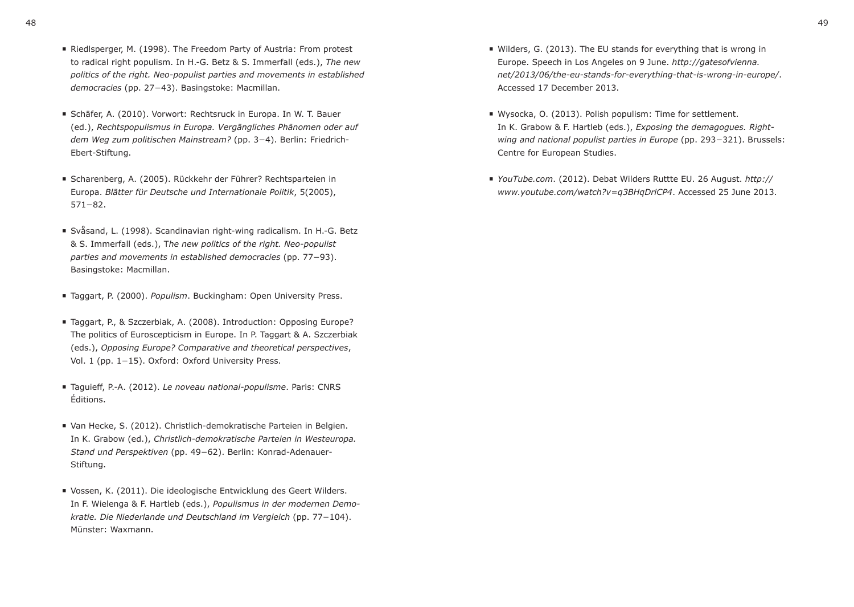- Riedlsperger, M. (1998). The Freedom Party of Austria: From protest to radical right populism. In H.-G. Betz & S. Immerfall (eds.), *The new politics of the right. Neo-populist parties and movements in established democracies* (pp. 27−43). Basingstoke: Macmillan.
- Schäfer, A. (2010). Vorwort: Rechtsruck in Europa. In W. T. Bauer (ed.), *Rechtspopulismus in Europa. Vergängliches Phänomen oder auf dem Weg zum politischen Mainstream?* (pp. 3−4). Berlin: Friedrich-Ebert-Stiftung.
- Scharenberg, A. (2005). Rückkehr der Führer? Rechtsparteien in Europa. *Blätter für Deutsche und Internationale Politik*, 5(2005), 571−82.
- Svåsand, L. (1998). Scandinavian right-wing radicalism. In H.-G. Betz & S. Immerfall (eds.), T*he new politics of the right. Neo-populist parties and movements in established democracies* (pp. 77−93). Basingstoke: Macmillan.
- Taggart, P. (2000). *Populism*. Buckingham: Open University Press.
- Taggart, P., & Szczerbiak, A. (2008). Introduction: Opposing Europe? The politics of Euroscepticism in Europe. In P. Taggart & A. Szczerbiak (eds.), *Opposing Europe? Comparative and theoretical perspectives*, Vol. 1 (pp. 1−15). Oxford: Oxford University Press.
- Taguieff, P.-A. (2012). *Le noveau national-populisme*. Paris: CNRS Éditions.
- Van Hecke, S. (2012). Christlich-demokratische Parteien in Belgien. In K. Grabow (ed.), *Christlich-demokratische Parteien in Westeuropa. Stand und Perspektiven* (pp. 49−62). Berlin: Konrad-Adenauer-Stiftung.
- Vossen, K. (2011). Die ideologische Entwicklung des Geert Wilders. In F. Wielenga & F. Hartleb (eds.), *Populismus in der modernen Demokratie. Die Niederlande und Deutschland im Vergleich* (pp. 77−104). Münster: Waxmann.
- Wilders, G. (2013). The EU stands for everything that is wrong in Europe. Speech in Los Angeles on 9 June. *http://gatesofvienna. net/2013/06/the-eu-stands-for-everything-that-is-wrong-in-europe/*. Accessed 17 December 2013.
- Wysocka, O. (2013). Polish populism: Time for settlement. In K. Grabow & F. Hartleb (eds.), *Exposing the demagogues. Rightwing and national populist parties in Europe* (pp. 293−321). Brussels: Centre for European Studies.
- *YouTube.com*. (2012). Debat Wilders Ruttte EU. 26 August. *http:// www.youtube.com/watch?v=q3BHqDriCP4*. Accessed 25 June 2013.